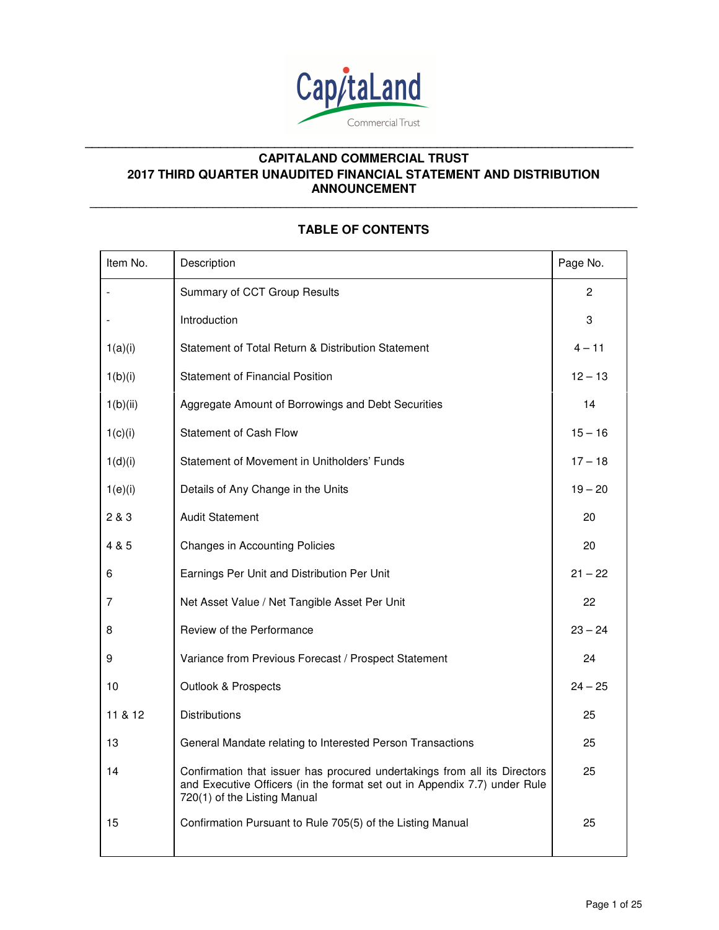

**\_\_\_\_\_\_\_\_\_\_\_\_\_\_\_\_\_\_\_\_\_\_\_\_\_\_\_\_\_\_\_\_\_\_\_\_\_\_\_\_\_\_\_\_\_\_\_\_\_\_\_\_\_\_\_\_\_\_\_\_\_\_\_\_\_\_\_\_\_\_\_\_\_\_\_\_\_\_\_\_\_\_\_\_\_\_\_\_\_**

**\_\_\_\_\_\_\_\_\_\_\_\_\_\_\_\_\_\_\_\_\_\_\_\_\_\_\_\_\_\_\_\_\_\_\_\_\_\_\_\_\_\_\_\_\_\_\_\_\_\_\_\_\_\_\_\_\_\_\_\_\_\_\_\_\_\_\_\_\_\_\_\_\_\_\_\_\_\_\_\_\_** 

# Item No. 2008 | Description Page No. 2012 | Page No. 2014 | Page No. 2014 | Page No. 2014 Summary of CCT Group Results 2 - Introduction and the set of the set of the set of the set of the set of the set of the set of the set of the set of the set of the set of the set of the set of the set of the set of the set of the set of the set of the s  $1(a)(i)$  Statement of Total Return & Distribution Statement  $4 - 11$ 1(b)(i) Statement of Financial Position 12 – 13 1(b)(ii) Aggregate Amount of Borrowings and Debt Securities 14 1(c)(i) Statement of Cash Flow 15 – 16 1(d)(i) Statement of Movement in Unitholders' Funds 17 – 18 1(e)(i) Details of Any Change in the Units 19 – 20 2 & 3 Audit Statement 20 Audit Statement 20 Audit Statement 20 Audit 20 Audit 20 Audit 20 Audit 20 Audit 20 Audit 20 Audit 20 Audit 20 Audit 20 Audit 20 Audit 20 Audit 20 Audit 20 Audit 20 Audit 20 Audit 20 Audit 20 Audit 4 & 5 Changes in Accounting Policies 20 20 6 Earnings Per Unit and Distribution Per Unit 21 – 22 7 Net Asset Value / Net Tangible Asset Per Unit 22 8 Review of the Performance 23 – 24 9 Variance from Previous Forecast / Prospect Statement 24 10 Outlook & Prospects 24 – 25 11 & 12 Distributions 25 13 **General Mandate relating to Interested Person Transactions** 25 14 Confirmation that issuer has procured undertakings from all its Directors and Executive Officers (in the format set out in Appendix 7.7) under Rule 720(1) of the Listing Manual 25 15 Confirmation Pursuant to Rule 705(5) of the Listing Manual 25

### **TABLE OF CONTENTS**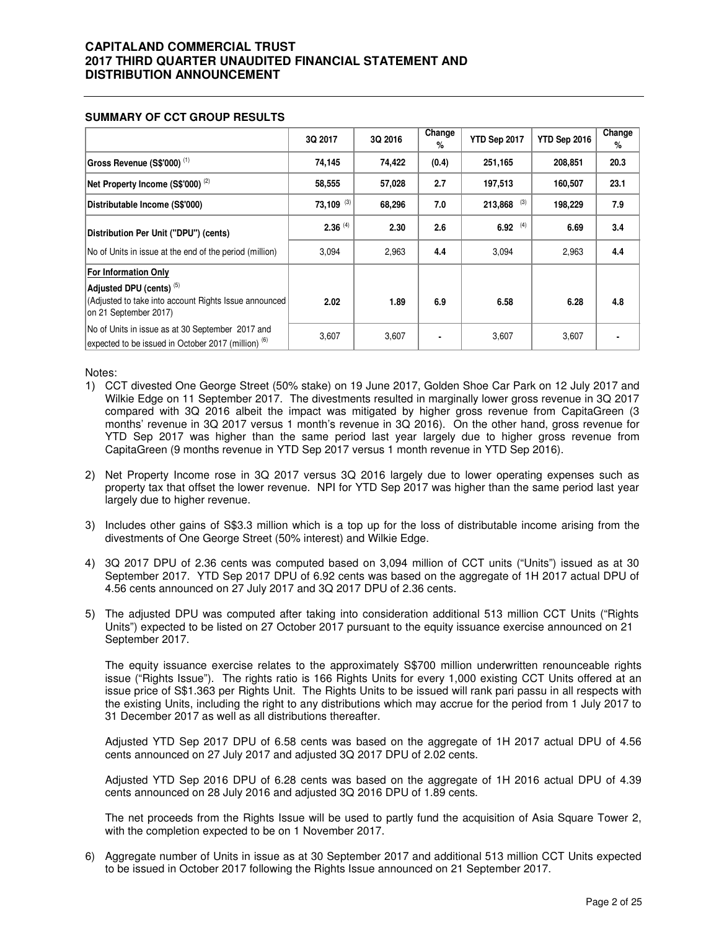|                                                                                                                                                      | 3Q 2017      | 3Q 2016 | Change<br>% | YTD Sep 2017   | YTD Sep 2016 | Change<br>% |
|------------------------------------------------------------------------------------------------------------------------------------------------------|--------------|---------|-------------|----------------|--------------|-------------|
| Gross Revenue (S\$'000) $(1)$                                                                                                                        | 74,145       | 74,422  | (0.4)       | 251,165        | 208,851      | 20.3        |
| Net Property Income (S\$'000) $(2)$                                                                                                                  | 58,555       | 57,028  | 2.7         | 197,513        | 160,507      | 23.1        |
| Distributable Income (S\$'000)                                                                                                                       | $73,109$ (3) | 68,296  | 7.0         | (3)<br>213,868 | 198,229      | 7.9         |
| Distribution Per Unit ("DPU") (cents)                                                                                                                | $2.36^{(4)}$ | 2.30    | 2.6         | 6.92 $(4)$     | 6.69         | 3.4         |
| No of Units in issue at the end of the period (million)                                                                                              | 3,094        | 2,963   | 4.4         | 3,094          | 2,963        | 4.4         |
| <b>For Information Only</b><br>Adjusted DPU (cents) <sup>(5)</sup><br>(Adjusted to take into account Rights Issue announced<br>on 21 September 2017) | 2.02         | 1.89    | 6.9         | 6.58           | 6.28         | 4.8         |
| No of Units in issue as at 30 September 2017 and<br>expected to be issued in October 2017 (million) <sup>(6)</sup>                                   | 3,607        | 3,607   |             | 3,607          | 3,607        |             |

#### **SUMMARY OF CCT GROUP RESULTS**

Notes:

- 1) CCT divested One George Street (50% stake) on 19 June 2017, Golden Shoe Car Park on 12 July 2017 and Wilkie Edge on 11 September 2017. The divestments resulted in marginally lower gross revenue in 3Q 2017 compared with 3Q 2016 albeit the impact was mitigated by higher gross revenue from CapitaGreen (3 months' revenue in 3Q 2017 versus 1 month's revenue in 3Q 2016). On the other hand, gross revenue for YTD Sep 2017 was higher than the same period last year largely due to higher gross revenue from CapitaGreen (9 months revenue in YTD Sep 2017 versus 1 month revenue in YTD Sep 2016).
- 2) Net Property Income rose in 3Q 2017 versus 3Q 2016 largely due to lower operating expenses such as property tax that offset the lower revenue. NPI for YTD Sep 2017 was higher than the same period last year largely due to higher revenue.
- 3) Includes other gains of S\$3.3 million which is a top up for the loss of distributable income arising from the divestments of One George Street (50% interest) and Wilkie Edge.
- 4) 3Q 2017 DPU of 2.36 cents was computed based on 3,094 million of CCT units ("Units") issued as at 30 September 2017. YTD Sep 2017 DPU of 6.92 cents was based on the aggregate of 1H 2017 actual DPU of 4.56 cents announced on 27 July 2017 and 3Q 2017 DPU of 2.36 cents.
- 5) The adjusted DPU was computed after taking into consideration additional 513 million CCT Units ("Rights Units") expected to be listed on 27 October 2017 pursuant to the equity issuance exercise announced on 21 September 2017.

The equity issuance exercise relates to the approximately S\$700 million underwritten renounceable rights issue ("Rights Issue"). The rights ratio is 166 Rights Units for every 1,000 existing CCT Units offered at an issue price of S\$1.363 per Rights Unit. The Rights Units to be issued will rank pari passu in all respects with the existing Units, including the right to any distributions which may accrue for the period from 1 July 2017 to 31 December 2017 as well as all distributions thereafter.

Adjusted YTD Sep 2017 DPU of 6.58 cents was based on the aggregate of 1H 2017 actual DPU of 4.56 cents announced on 27 July 2017 and adjusted 3Q 2017 DPU of 2.02 cents.

Adjusted YTD Sep 2016 DPU of 6.28 cents was based on the aggregate of 1H 2016 actual DPU of 4.39 cents announced on 28 July 2016 and adjusted 3Q 2016 DPU of 1.89 cents.

The net proceeds from the Rights Issue will be used to partly fund the acquisition of Asia Square Tower 2, with the completion expected to be on 1 November 2017.

6) Aggregate number of Units in issue as at 30 September 2017 and additional 513 million CCT Units expected to be issued in October 2017 following the Rights Issue announced on 21 September 2017.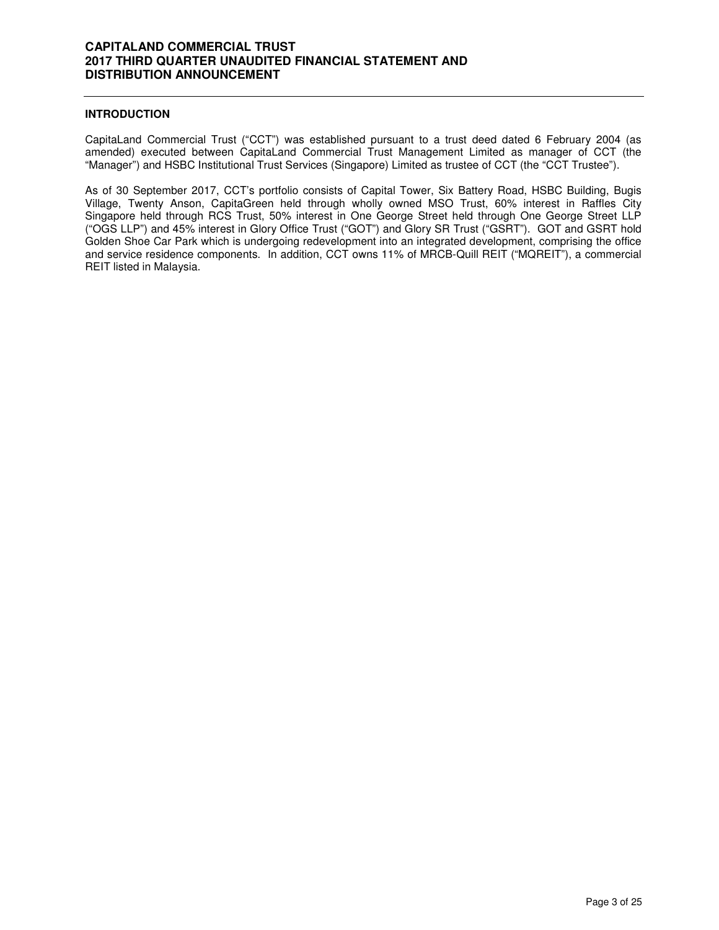### **INTRODUCTION**

CapitaLand Commercial Trust ("CCT") was established pursuant to a trust deed dated 6 February 2004 (as amended) executed between CapitaLand Commercial Trust Management Limited as manager of CCT (the "Manager") and HSBC Institutional Trust Services (Singapore) Limited as trustee of CCT (the "CCT Trustee").

As of 30 September 2017, CCT's portfolio consists of Capital Tower, Six Battery Road, HSBC Building, Bugis Village, Twenty Anson, CapitaGreen held through wholly owned MSO Trust, 60% interest in Raffles City Singapore held through RCS Trust, 50% interest in One George Street held through One George Street LLP ("OGS LLP") and 45% interest in Glory Office Trust ("GOT") and Glory SR Trust ("GSRT"). GOT and GSRT hold Golden Shoe Car Park which is undergoing redevelopment into an integrated development, comprising the office and service residence components. In addition, CCT owns 11% of MRCB-Quill REIT ("MQREIT"), a commercial REIT listed in Malaysia.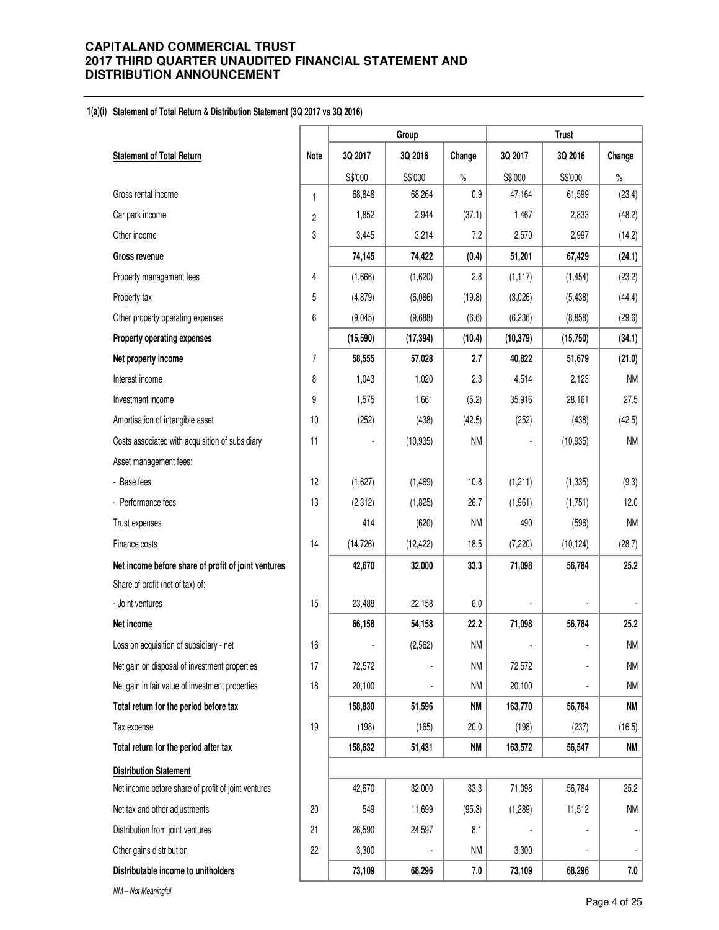#### **1(a)(i) Statement of Total Return & Distribution Statement (3Q 2017 vs 3Q 2016)**

|                                                     |                |           | Group          |           |           | <b>Trust</b> |           |
|-----------------------------------------------------|----------------|-----------|----------------|-----------|-----------|--------------|-----------|
| <b>Statement of Total Return</b>                    | <b>Note</b>    | 3Q 2017   | 3Q 2016        | Change    | 3Q 2017   | 3Q 2016      | Change    |
|                                                     |                | S\$'000   | S\$'000        | $\%$      | S\$'000   | S\$'000      | $\%$      |
| Gross rental income                                 | 1              | 68,848    | 68,264         | 0.9       | 47,164    | 61,599       | (23.4)    |
| Car park income                                     | $\overline{c}$ | 1,852     | 2,944          | (37.1)    | 1,467     | 2,833        | (48.2)    |
| Other income                                        | 3              | 3,445     | 3,214          | 7.2       | 2,570     | 2,997        | (14.2)    |
| <b>Gross revenue</b>                                |                | 74,145    | 74,422         | (0.4)     | 51,201    | 67,429       | (24.1)    |
| Property management fees                            | 4              | (1,666)   | (1,620)        | 2.8       | (1, 117)  | (1, 454)     | (23.2)    |
| Property tax                                        | 5              | (4, 879)  | (6,086)        | (19.8)    | (3,026)   | (5, 438)     | (44.4)    |
| Other property operating expenses                   | 6              | (9,045)   | (9,688)        | (6.6)     | (6, 236)  | (8,858)      | (29.6)    |
| Property operating expenses                         |                | (15,590)  | (17, 394)      | (10.4)    | (10, 379) | (15, 750)    | (34.1)    |
| Net property income                                 | $\overline{7}$ | 58,555    | 57,028         | 2.7       | 40,822    | 51,679       | (21.0)    |
| Interest income                                     | 8              | 1,043     | 1,020          | 2.3       | 4,514     | 2,123        | <b>NM</b> |
| Investment income                                   | 9              | 1,575     | 1,661          | (5.2)     | 35,916    | 28,161       | 27.5      |
| Amortisation of intangible asset                    | 10             | (252)     | (438)          | (42.5)    | (252)     | (438)        | (42.5)    |
| Costs associated with acquisition of subsidiary     | 11             |           | (10, 935)      | <b>NM</b> |           | (10, 935)    | <b>NM</b> |
| Asset management fees:                              |                |           |                |           |           |              |           |
| - Base fees                                         | 12             | (1,627)   | (1, 469)       | 10.8      | (1,211)   | (1, 335)     | (9.3)     |
| - Performance fees                                  | 13             | (2, 312)  | (1,825)        | 26.7      | (1,961)   | (1,751)      | 12.0      |
| Trust expenses                                      |                | 414       | (620)          | <b>NM</b> | 490       | (596)        | <b>NM</b> |
| Finance costs                                       | 14             | (14, 726) | (12, 422)      | 18.5      | (7, 220)  | (10, 124)    | (28.7)    |
| Net income before share of profit of joint ventures |                | 42,670    | 32,000         | 33.3      | 71,098    | 56,784       | 25.2      |
| Share of profit (net of tax) of:                    |                |           |                |           |           |              |           |
| - Joint ventures                                    | 15             | 23,488    | 22,158         | 6.0       |           |              |           |
| Net income                                          |                | 66,158    | 54,158         | 22.2      | 71,098    | 56,784       | 25.2      |
| Loss on acquisition of subsidiary - net             | 16             |           | (2, 562)       | <b>NM</b> |           |              | <b>NM</b> |
| Net gain on disposal of investment properties       | 17             | 72,572    | $\overline{a}$ | <b>NM</b> | 72,572    |              | <b>NM</b> |
| Net gain in fair value of investment properties     | 18             | 20,100    | $\centerdot$   | <b>NM</b> | 20,100    |              | NM        |
| Total return for the period before tax              |                | 158,830   | 51,596         | NM        | 163,770   | 56,784       | <b>NM</b> |
| Tax expense                                         | 19             | (198)     | (165)          | 20.0      | (198)     | (237)        | (16.5)    |
| Total return for the period after tax               |                | 158,632   | 51,431         | <b>NM</b> | 163,572   | 56,547       | NM        |
| <b>Distribution Statement</b>                       |                |           |                |           |           |              |           |
| Net income before share of profit of joint ventures |                | 42,670    | 32,000         | 33.3      | 71,098    | 56,784       | 25.2      |
| Net tax and other adjustments                       | 20             | 549       | 11,699         | (95.3)    | (1,289)   | 11,512       | NM        |
| Distribution from joint ventures                    | 21             | 26,590    | 24,597         | 8.1       |           |              |           |
| Other gains distribution                            | 22             | 3,300     |                | <b>NM</b> | 3,300     |              |           |
| Distributable income to unitholders                 |                | 73,109    | 68,296         | 7.0       | 73,109    | 68,296       | 7.0       |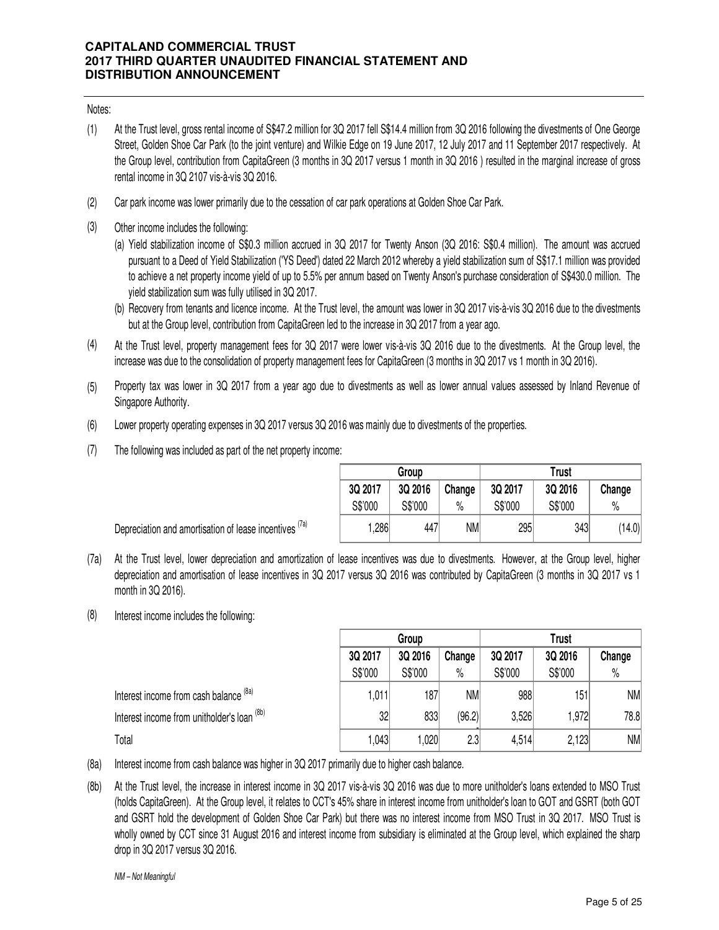### Notes:

- (1) At the Trust level, gross rental income of S\$47.2 million for 3Q 2017 fell S\$14.4 million from 3Q 2016 following the divestments of One George Street, Golden Shoe Car Park (to the joint venture) and Wilkie Edge on 19 June 2017, 12 July 2017 and 11 September 2017 respectively. At the Group level, contribution from CapitaGreen (3 months in 3Q 2017 versus 1 month in 3Q 2016 ) resulted in the marginal increase of gross rental income in 3Q 2107 vis-à-vis 3Q 2016.
- (2) Car park income was lower primarily due to the cessation of car park operations at Golden Shoe Car Park.
- (3) Other income includes the following:
	- (a) Yield stabilization income of S\$0.3 million accrued in 3Q 2017 for Twenty Anson (3Q 2016: S\$0.4 million). The amount was accrued pursuant to a Deed of Yield Stabilization ('YS Deed') dated 22 March 2012 whereby a yield stabilization sum of S\$17.1 million was provided to achieve a net property income yield of up to 5.5% per annum based on Twenty Anson's purchase consideration of S\$430.0 million. The yield stabilization sum was fully utilised in 3Q 2017.
	- (b) Recovery from tenants and licence income. At the Trust level, the amount was lower in 3Q 2017 vis-à-vis 3Q 2016 due to the divestments but at the Group level, contribution from CapitaGreen led to the increase in 3Q 2017 from a year ago.
- (4) At the Trust level, property management fees for 3Q 2017 were lower vis-à-vis 3Q 2016 due to the divestments. At the Group level, the increase was due to the consolidation of property management fees for CapitaGreen (3 months in 3Q 2017 vs 1 month in 3Q 2016).
- (5) Property tax was lower in 3Q 2017 from a year ago due to divestments as well as lower annual values assessed by Inland Revenue of Singapore Authority.
- (6) Lower property operating expenses in 3Q 2017 versus 3Q 2016 was mainly due to divestments of the properties.
- (7) The following was included as part of the net property income:

Depreciation and amortisation of lease incentives  $(7a)$ 

|         | Group   |        | Trust   |         |        |  |  |
|---------|---------|--------|---------|---------|--------|--|--|
| 3Q 2017 | 3Q 2016 | Change | 3Q 2017 | 3Q 2016 | Change |  |  |
| S\$'000 | S\$'000 | $\%$   | S\$'000 | S\$'000 | %      |  |  |
| 1,286   | 447     | NM     | 295     | 343     | (14.0) |  |  |

- (7a) At the Trust level, lower depreciation and amortization of lease incentives was due to divestments. However, at the Group level, higher depreciation and amortisation of lease incentives in 3Q 2017 versus 3Q 2016 was contributed by CapitaGreen (3 months in 3Q 2017 vs 1 month in 3Q 2016).
- (8) Interest income includes the following:

|                                             | Group   |         |           | Trust   |         |        |
|---------------------------------------------|---------|---------|-----------|---------|---------|--------|
|                                             | 3Q 2017 | 3Q 2016 | Change    | 3Q 2017 | 3Q 2016 | Change |
|                                             | S\$'000 | S\$'000 | $\%$      | S\$'000 | S\$'000 | $\%$   |
| Interest income from cash balance (8a)      | 1,011   | 187     | <b>NM</b> | 988     | 151     | NM     |
| Interest income from unitholder's loan (8b) | 32      | 833     | (96.2)    | 3,526   | .972    | 78.8   |
| Total                                       | 043     | ,020    | 2.3       | 4,514   | 2,123   | NM     |

- (8a) Interest income from cash balance was higher in 3Q 2017 primarily due to higher cash balance.
- (8b) At the Trust level, the increase in interest income in 3Q 2017 vis-à-vis 3Q 2016 was due to more unitholder's loans extended to MSO Trust (holds CapitaGreen). At the Group level, it relates to CCT's 45% share in interest income from unitholder's loan to GOT and GSRT (both GOT and GSRT hold the development of Golden Shoe Car Park) but there was no interest income from MSO Trust in 3Q 2017. MSO Trust is wholly owned by CCT since 31 August 2016 and interest income from subsidiary is eliminated at the Group level, which explained the sharp drop in 3Q 2017 versus 3Q 2016.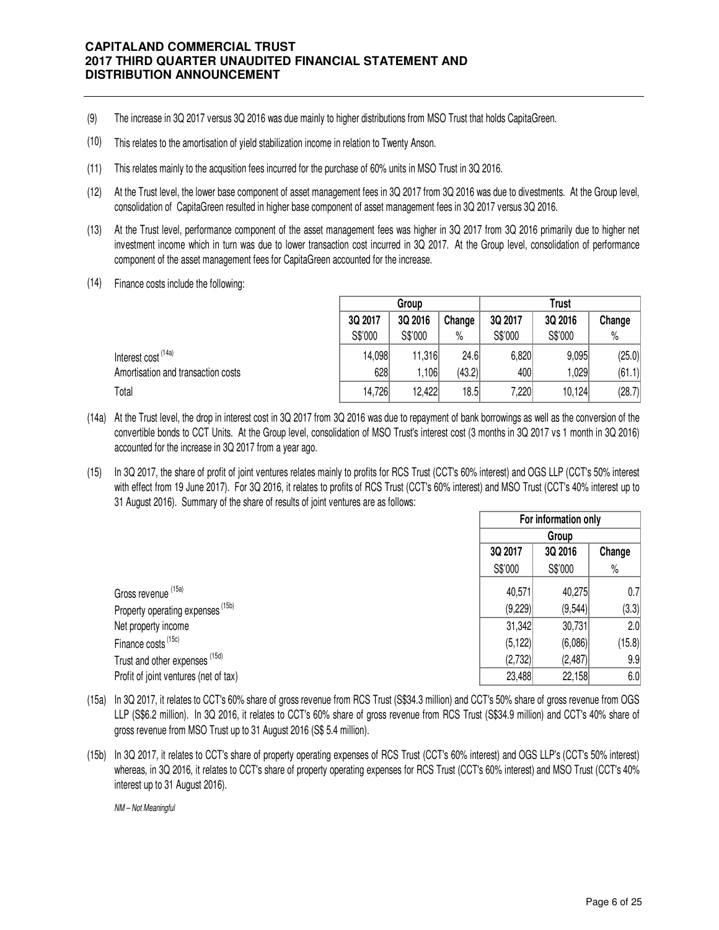- (9) The increase in 3Q 2017 versus 3Q 2016 was due mainly to higher distributions from MSO Trust that holds CapitaGreen.
- (10) This relates to the amortisation of yield stabilization income in relation to Twenty Anson.
- (11) This relates mainly to the acqusition fees incurred for the purchase of 60% units in MSO Trust in 3Q 2016.
- (12) At the Trust level, the lower base component of asset management fees in 3Q 2017 from 3Q 2016 was due to divestments. At the Group level, consolidation of CapitaGreen resulted in higher base component of asset management fees in 3Q 2017 versus 3Q 2016.
- (13) At the Trust level, performance component of the asset management fees was higher in 3Q 2017 from 3Q 2016 primarily due to higher net investment income which in turn was due to lower transaction cost incurred in 3Q 2017. At the Group level, consolidation of performance component of the asset management fees for CapitaGreen accounted for the increase.
- (14) Finance costs include the following:

|                                    |         | Group   |        |         | Trust   |        |
|------------------------------------|---------|---------|--------|---------|---------|--------|
|                                    | 3Q 2017 | 3Q 2016 | Change | 3Q 2017 | 3Q 2016 | Change |
|                                    | S\$'000 | S\$'000 | $\%$   | S\$'000 | S\$'000 | $\%$   |
| Interest cost (14a)                | 14,098  | 11,316  | 24.6   | 6,820   | 9.095   | (25.0) |
| Amortisation and transaction costs | 628     | .106    | (43.2) | 400     | ,029    | (61.1) |
| Total                              | 14,726  | 12,422  | 18.5   | 7,220   | 10,124  | (28.7) |

- (14a) At the Trust level, the drop in interest cost in 3Q 2017 from 3Q 2016 was due to repayment of bank borrowings as well as the conversion of the convertible bonds to CCT Units. At the Group level, consolidation of MSO Trust's interest cost (3 months in 3Q 2017 vs 1 month in 3Q 2016) accounted for the increase in 3Q 2017 from a year ago.
- (15) In 3Q 2017, the share of profit of joint ventures relates mainly to profits for RCS Trust (CCT's 60% interest) and OGS LLP (CCT's 50% interest with effect from 19 June 2017). For 3Q 2016, it relates to profits of RCS Trust (CCT's 60% interest) and MSO Trust (CCT's 40% interest up to 31 August 2016). Summary of the share of results of joint ventures are as follows:

|                                              |          | For information only |        |  |  |
|----------------------------------------------|----------|----------------------|--------|--|--|
|                                              |          | Group                |        |  |  |
|                                              | 3Q 2017  | 3Q 2016              | Change |  |  |
|                                              | S\$'000  | S\$'000              | $\%$   |  |  |
| Gross revenue <sup>(15a)</sup>               | 40,571   | 40,275               | 0.7    |  |  |
| Property operating expenses <sup>(15b)</sup> | (9,229)  | (9, 544)             | (3.3)  |  |  |
| Net property income                          | 31,342   | 30,731               | 2.0    |  |  |
| Finance costs <sup>(15c)</sup>               | (5, 122) | (6,086)              | (15.8) |  |  |
| Trust and other expenses (15d)               | (2,732)  | (2, 487)             | 9.9    |  |  |
| Profit of joint ventures (net of tax)        | 23,488   | 22,158               | 6.0    |  |  |

- (15a) In 3Q 2017, it relates to CCT's 60% share of gross revenue from RCS Trust (S\$34.3 million) and CCT's 50% share of gross revenue from OGS LLP (S\$6.2 million). In 3Q 2016, it relates to CCT's 60% share of gross revenue from RCS Trust (S\$34.9 million) and CCT's 40% share of gross revenue from MSO Trust up to 31 August 2016 (S\$ 5.4 million).
- (15b) In 3Q 2017, it relates to CCT's share of property operating expenses of RCS Trust (CCT's 60% interest) and OGS LLP's (CCT's 50% interest) whereas, in 3Q 2016, it relates to CCT's share of property operating expenses for RCS Trust (CCT's 60% interest) and MSO Trust (CCT's 40% interest up to 31 August 2016).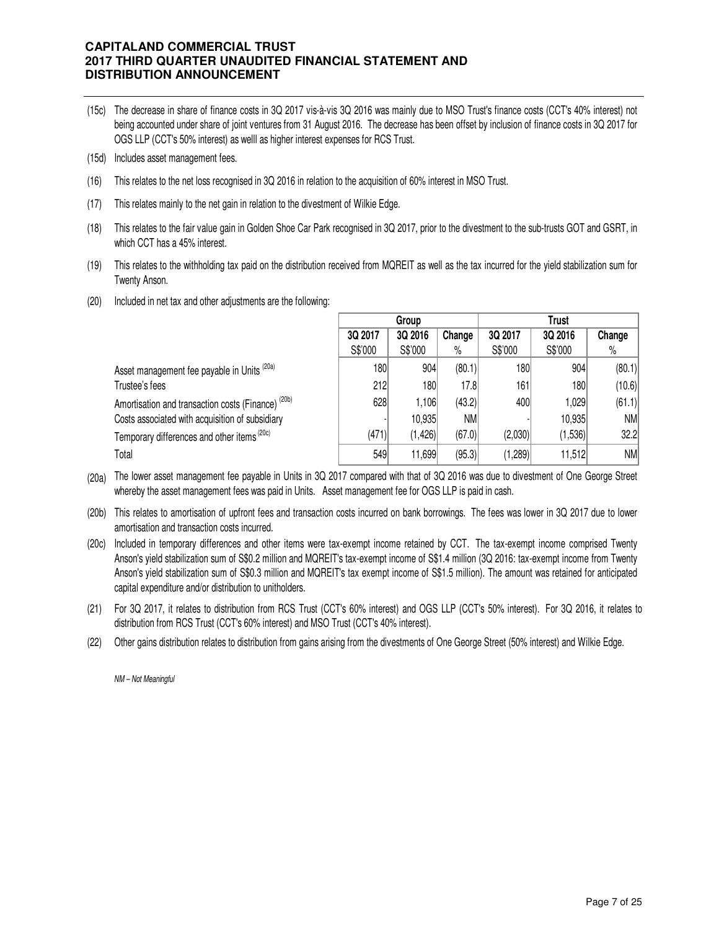- (15c) The decrease in share of finance costs in 3Q 2017 vis-à-vis 3Q 2016 was mainly due to MSO Trust's finance costs (CCT's 40% interest) not being accounted under share of joint ventures from 31 August 2016. The decrease has been offset by inclusion of finance costs in 3Q 2017 for OGS LLP (CCT's 50% interest) as welll as higher interest expenses for RCS Trust.
- (15d) Includes asset management fees.
- (16) This relates to the net loss recognised in 3Q 2016 in relation to the acquisition of 60% interest in MSO Trust.
- (17) This relates mainly to the net gain in relation to the divestment of Wilkie Edge.
- (18) This relates to the fair value gain in Golden Shoe Car Park recognised in 3Q 2017, prior to the divestment to the sub-trusts GOT and GSRT, in which CCT has a 45% interest.
- (19) This relates to the withholding tax paid on the distribution received from MQREIT as well as the tax incurred for the yield stabilization sum for Twenty Anson.
- (20) Included in net tax and other adjustments are the following:

|                                                               | Group<br>Trust |          |        |         |         |           |
|---------------------------------------------------------------|----------------|----------|--------|---------|---------|-----------|
|                                                               | 3Q 2017        | 3Q 2016  | Change | 3Q 2017 | 3Q 2016 | Change    |
|                                                               | S\$'000        | S\$'000  | $\%$   | S\$'000 | S\$'000 | $\%$      |
| Asset management fee payable in Units <sup>(20a)</sup>        | 180            | 904      | (80.1) | 180     | 904     | (80.1)    |
| Trustee's fees                                                | 212            | 180      | 17.8   | 161     | 180     | (10.6)    |
| Amortisation and transaction costs (Finance) <sup>(20b)</sup> | 628            | 1,106    | (43.2) | 400     | 29. ا   | (61.1)    |
| Costs associated with acquisition of subsidiary               |                | 10,935   | NM     |         | 10,935  | NM        |
| Temporary differences and other items (20c)                   | (471)          | (1, 426) | (67.0) | (2,030) | (1,536) | 32.2      |
| Total                                                         | 549            | 1,699    | (95.3) | (1,289) | 11,512  | <b>NM</b> |

(20a) The lower asset management fee payable in Units in 3Q 2017 compared with that of 3Q 2016 was due to divestment of One George Street whereby the asset management fees was paid in Units. Asset management fee for OGS LLP is paid in cash.

- (20b) This relates to amortisation of upfront fees and transaction costs incurred on bank borrowings. The fees was lower in 3Q 2017 due to lower amortisation and transaction costs incurred.
- (20c) Included in temporary differences and other items were tax-exempt income retained by CCT. The tax-exempt income comprised Twenty Anson's yield stabilization sum of S\$0.2 million and MQREIT's tax-exempt income of S\$1.4 million (3Q 2016: tax-exempt income from Twenty Anson's yield stabilization sum of S\$0.3 million and MQREIT's tax exempt income of S\$1.5 million). The amount was retained for anticipated capital expenditure and/or distribution to unitholders.
- (21) For 3Q 2017, it relates to distribution from RCS Trust (CCT's 60% interest) and OGS LLP (CCT's 50% interest). For 3Q 2016, it relates to distribution from RCS Trust (CCT's 60% interest) and MSO Trust (CCT's 40% interest).
- (22) Other gains distribution relates to distribution from gains arising from the divestments of One George Street (50% interest) and Wilkie Edge.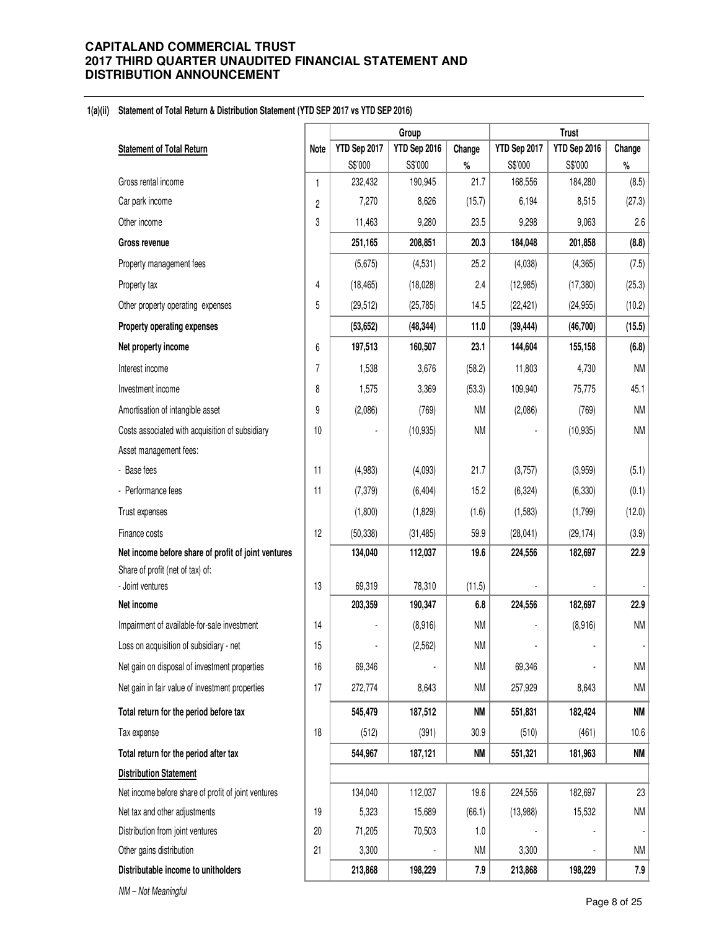#### **1(a)(ii) Statement of Total Return & Distribution Statement (YTD SEP 2017 vs YTD SEP 2016)**

|                                                     |                |              | Group        |           |              | <b>Trust</b> |           |
|-----------------------------------------------------|----------------|--------------|--------------|-----------|--------------|--------------|-----------|
| <b>Statement of Total Return</b>                    | <b>Note</b>    | YTD Sep 2017 | YTD Sep 2016 | Change    | YTD Sep 2017 | YTD Sep 2016 | Change    |
|                                                     |                | S\$'000      | S\$'000      | $\%$      | S\$'000      | S\$'000      | $\%$      |
| Gross rental income                                 | $\mathbf{1}$   | 232,432      | 190,945      | 21.7      | 168,556      | 184,280      | (8.5)     |
| Car park income                                     | $\mathbf{2}$   | 7,270        | 8,626        | (15.7)    | 6,194        | 8,515        | (27.3)    |
| Other income                                        | 3              | 11,463       | 9,280        | 23.5      | 9,298        | 9,063        | 2.6       |
| <b>Gross revenue</b>                                |                | 251,165      | 208,851      | 20.3      | 184,048      | 201,858      | (8.8)     |
| Property management fees                            |                | (5,675)      | (4, 531)     | 25.2      | (4,038)      | (4, 365)     | (7.5)     |
| Property tax                                        | 4              | (18, 465)    | (18,028)     | 2.4       | (12, 985)    | (17, 380)    | (25.3)    |
| Other property operating expenses                   | 5              | (29, 512)    | (25, 785)    | 14.5      | (22, 421)    | (24, 955)    | (10.2)    |
| Property operating expenses                         |                | (53, 652)    | (48, 344)    | 11.0      | (39, 444)    | (46, 700)    | (15.5)    |
| Net property income                                 | 6              | 197,513      | 160,507      | 23.1      | 144,604      | 155,158      | (6.8)     |
| Interest income                                     | $\overline{7}$ | 1,538        | 3,676        | (58.2)    | 11,803       | 4,730        | <b>NM</b> |
| Investment income                                   | 8              | 1,575        | 3,369        | (53.3)    | 109,940      | 75,775       | 45.1      |
| Amortisation of intangible asset                    | 9              | (2,086)      | (769)        | <b>NM</b> | (2,086)      | (769)        | <b>NM</b> |
| Costs associated with acquisition of subsidiary     | 10             |              | (10, 935)    | <b>NM</b> |              | (10, 935)    | NM        |
| Asset management fees:                              |                |              |              |           |              |              |           |
| - Base fees                                         | 11             | (4,983)      | (4,093)      | 21.7      | (3,757)      | (3,959)      | (5.1)     |
| - Performance fees                                  | 11             | (7, 379)     | (6, 404)     | 15.2      | (6, 324)     | (6, 330)     | (0.1)     |
| Trust expenses                                      |                | (1,800)      | (1,829)      | (1.6)     | (1,583)      | (1,799)      | (12.0)    |
| Finance costs                                       | 12             | (50, 338)    | (31, 485)    | 59.9      | (28, 041)    | (29, 174)    | (3.9)     |
| Net income before share of profit of joint ventures |                | 134,040      | 112,037      | 19.6      | 224,556      | 182,697      | 22.9      |
| Share of profit (net of tax) of:                    |                |              |              |           |              |              |           |
| - Joint ventures                                    | 13             | 69,319       | 78,310       | (11.5)    |              |              |           |
| Net income                                          |                | 203,359      | 190,347      | 6.8       | 224,556      | 182,697      | 22.9      |
| Impairment of available-for-sale investment         | 14             |              | (8,916)      | <b>NM</b> |              | (8,916)      | <b>NM</b> |
| Loss on acquisition of subsidiary - net             | 15             |              | (2, 562)     | NM        |              |              |           |
| Net gain on disposal of investment properties       | 16             | 69,346       |              | <b>NM</b> | 69,346       |              | NM        |
| Net gain in fair value of investment properties     | 17             | 272,774      | 8,643        | <b>NM</b> | 257,929      | 8,643        | NM        |
| Total return for the period before tax              |                | 545,479      | 187,512      | NM        | 551,831      | 182,424      | <b>NM</b> |
| Tax expense                                         | 18             | (512)        | (391)        | 30.9      | (510)        | (461)        | 10.6      |
| Total return for the period after tax               |                | 544,967      | 187,121      | NM        | 551,321      | 181,963      | <b>NM</b> |
| <b>Distribution Statement</b>                       |                |              |              |           |              |              |           |
| Net income before share of profit of joint ventures |                | 134,040      | 112,037      | 19.6      | 224,556      | 182,697      | 23        |
| Net tax and other adjustments                       | 19             | 5,323        | 15,689       | (66.1)    | (13,988)     | 15,532       | NM        |
| Distribution from joint ventures                    | 20             | 71,205       | 70,503       | 1.0       |              |              |           |
| Other gains distribution                            | 21             | 3,300        |              | <b>NM</b> | 3,300        |              | NM        |
| Distributable income to unitholders                 |                | 213,868      | 198,229      | 7.9       | 213,868      | 198,229      | 7.9       |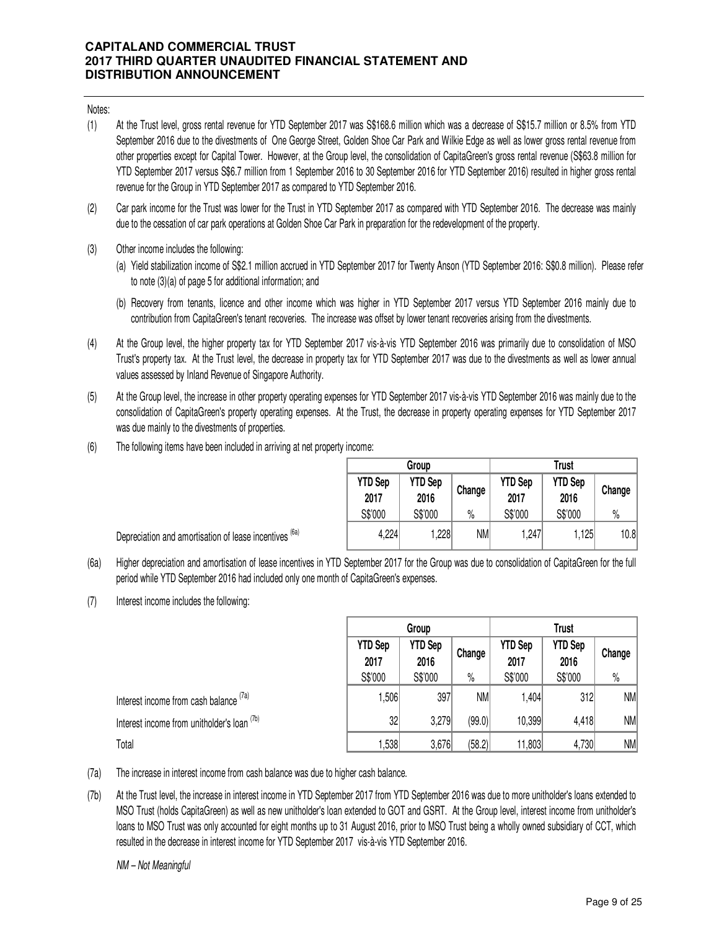Notes:

- (1) At the Trust level, gross rental revenue for YTD September 2017 was S\$168.6 million which was a decrease of S\$15.7 million or 8.5% from YTD September 2016 due to the divestments of One George Street, Golden Shoe Car Park and Wilkie Edge as well as lower gross rental revenue from other properties except for Capital Tower. However, at the Group level, the consolidation of CapitaGreen's gross rental revenue (S\$63.8 million for YTD September 2017 versus S\$6.7 million from 1 September 2016 to 30 September 2016 for YTD September 2016) resulted in higher gross rental revenue for the Group in YTD September 2017 as compared to YTD September 2016.
- (2) Car park income for the Trust was lower for the Trust in YTD September 2017 as compared with YTD September 2016. The decrease was mainly due to the cessation of car park operations at Golden Shoe Car Park in preparation for the redevelopment of the property.
- (3) Other income includes the following:
	- (a) Yield stabilization income of S\$2.1 million accrued in YTD September 2017 for Twenty Anson (YTD September 2016: S\$0.8 million). Please refer to note (3)(a) of page 5 for additional information; and
	- (b) Recovery from tenants, licence and other income which was higher in YTD September 2017 versus YTD September 2016 mainly due to contribution from CapitaGreen's tenant recoveries. The increase was offset by lower tenant recoveries arising from the divestments.
- (4) At the Group level, the higher property tax for YTD September 2017 vis-à-vis YTD September 2016 was primarily due to consolidation of MSO Trust's property tax. At the Trust level, the decrease in property tax for YTD September 2017 was due to the divestments as well as lower annual values assessed by Inland Revenue of Singapore Authority.
- (5) At the Group level, the increase in other property operating expenses for YTD September 2017 vis-à-vis YTD September 2016 was mainly due to the consolidation of CapitaGreen's property operating expenses. At the Trust, the decrease in property operating expenses for YTD September 2017 was due mainly to the divestments of properties.
- (6) The following items have been included in arriving at net property income:

|                        | Group                  |           | <b>Trust</b>           |                        |        |  |  |
|------------------------|------------------------|-----------|------------------------|------------------------|--------|--|--|
| <b>YTD Sep</b><br>2017 | <b>YTD Sep</b><br>2016 | Change    | <b>YTD Sep</b><br>2017 | <b>YTD Sep</b><br>2016 | Change |  |  |
| S\$'000                | S\$'000                | $\%$      | S\$'000                | S\$'000                | $\%$   |  |  |
| 4,224                  | 1,228                  | <b>NM</b> | 1,247                  | 1,125                  | 10.8   |  |  |

Depreciation and amortisation of lease incentives <sup>(6a)</sup>

- (6a) Higher depreciation and amortisation of lease incentives in YTD September 2017 for the Group was due to consolidation of CapitaGreen for the full period while YTD September 2016 had included only one month of CapitaGreen's expenses.
- (7) Interest income includes the following:

|                                             | Group                  |                        |           | <b>Trust</b>           |                        |        |  |
|---------------------------------------------|------------------------|------------------------|-----------|------------------------|------------------------|--------|--|
|                                             | <b>YTD Sep</b><br>2017 | <b>YTD Sep</b><br>2016 | Change    | <b>YTD Sep</b><br>2017 | <b>YTD Sep</b><br>2016 | Change |  |
|                                             | S\$'000                | S\$'000                | $\%$      | S\$'000                | S\$'000                | $\%$   |  |
| Interest income from cash balance (7a)      | 1,506                  | 397                    | <b>NM</b> | 1,404                  | 312                    | NM     |  |
| Interest income from unitholder's loan (7b) | 32                     | 3,279                  | (99.0)    | 10,399                 | 4,418                  | NM     |  |
| Total                                       | 1,538                  | 3,676                  | (58.2)    | 11,803                 | 4,730                  | NM     |  |

- (7a) The increase in interest income from cash balance was due to higher cash balance.
- (7b) At the Trust level, the increase in interest income in YTD September 2017 from YTD September 2016 was due to more unitholder's loans extended to MSO Trust (holds CapitaGreen) as well as new unitholder's loan extended to GOT and GSRT. At the Group level, interest income from unitholder's loans to MSO Trust was only accounted for eight months up to 31 August 2016, prior to MSO Trust being a wholly owned subsidiary of CCT, which resulted in the decrease in interest income for YTD September 2017 vis-à-vis YTD September 2016.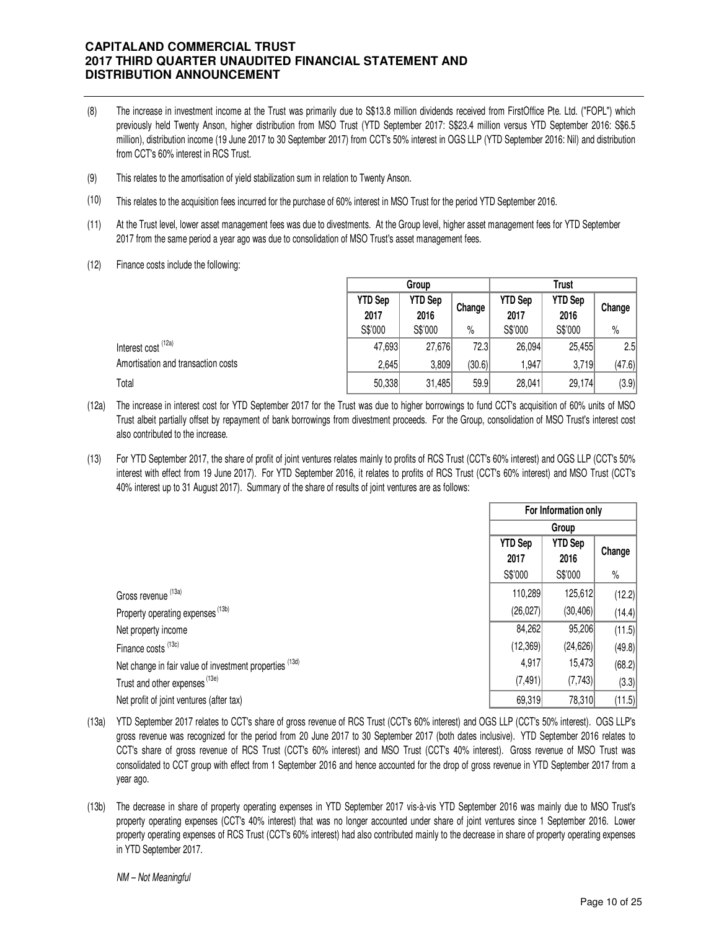- (8) The increase in investment income at the Trust was primarily due to S\$13.8 million dividends received from FirstOffice Pte. Ltd. ("FOPL") which previously held Twenty Anson, higher distribution from MSO Trust (YTD September 2017: S\$23.4 million versus YTD September 2016: S\$6.5 million), distribution income (19 June 2017 to 30 September 2017) from CCT's 50% interest in OGS LLP (YTD September 2016: Nil) and distribution from CCT's 60% interest in RCS Trust.
- (9) This relates to the amortisation of yield stabilization sum in relation to Twenty Anson.
- (10) This relates to the acquisition fees incurred for the purchase of 60% interest in MSO Trust for the period YTD September 2016.
- (11) At the Trust level, lower asset management fees was due to divestments. At the Group level, higher asset management fees for YTD September 2017 from the same period a year ago was due to consolidation of MSO Trust's asset management fees.
- (12) Finance costs include the following:

|                                    |                        | Group                  |        |                        | Trust                  |        |
|------------------------------------|------------------------|------------------------|--------|------------------------|------------------------|--------|
|                                    | <b>YTD Sep</b><br>2017 | <b>YTD Sep</b><br>2016 | Change | <b>YTD Sep</b><br>2017 | <b>YTD Sep</b><br>2016 | Change |
|                                    | S\$'000                | S\$'000                | $\%$   | S\$'000                | S\$'000                | $\%$   |
| Interest cost <sup>(12a)</sup>     | 47,693                 | 27,676                 | 72.3   | 26,094                 | 25,455                 | 2.5    |
| Amortisation and transaction costs | 2,645                  | 3,809                  | (30.6) | 947,                   | 3,719                  | (47.6) |
| Total                              | 50,338                 | 31,485                 | 59.9   | 28,041                 | 29,174                 | (3.9)  |

- (12a) The increase in interest cost for YTD September 2017 for the Trust was due to higher borrowings to fund CCT's acquisition of 60% units of MSO Trust albeit partially offset by repayment of bank borrowings from divestment proceeds. For the Group, consolidation of MSO Trust's interest cost also contributed to the increase.
- (13) For YTD September 2017, the share of profit of joint ventures relates mainly to profits of RCS Trust (CCT's 60% interest) and OGS LLP (CCT's 50% interest with effect from 19 June 2017). For YTD September 2016, it relates to profits of RCS Trust (CCT's 60% interest) and MSO Trust (CCT's 40% interest up to 31 August 2017). Summary of the share of results of joint ventures are as follows:

|                                                         |                        | For Information only   |        |
|---------------------------------------------------------|------------------------|------------------------|--------|
|                                                         |                        |                        |        |
|                                                         | <b>YTD Sep</b><br>2017 | <b>YTD Sep</b><br>2016 | Change |
|                                                         | S\$'000                | S\$'000                | $\%$   |
| Gross revenue (13a)                                     | 110,289                | 125,612                | (12.2) |
| Property operating expenses (13b)                       | (26, 027)              | (30, 406)              | (14.4) |
| Net property income                                     | 84,262                 | 95,206                 | (11.5) |
| Finance costs <sup>(13c)</sup>                          | (12, 369)              | (24, 626)              | (49.8) |
| Net change in fair value of investment properties (13d) | 4,917                  | 15,473                 | (68.2) |
| Trust and other expenses (13e)                          | (7, 491)               | (7, 743)               | (3.3)  |
| Net profit of joint ventures (after tax)                | 69,319                 | 78,310                 | (11.5) |

- (13a) YTD September 2017 relates to CCT's share of gross revenue of RCS Trust (CCT's 60% interest) and OGS LLP (CCT's 50% interest). OGS LLP's gross revenue was recognized for the period from 20 June 2017 to 30 September 2017 (both dates inclusive). YTD September 2016 relates to CCT's share of gross revenue of RCS Trust (CCT's 60% interest) and MSO Trust (CCT's 40% interest). Gross revenue of MSO Trust was consolidated to CCT group with effect from 1 September 2016 and hence accounted for the drop of gross revenue in YTD September 2017 from a year ago.
- (13b) The decrease in share of property operating expenses in YTD September 2017 vis-à-vis YTD September 2016 was mainly due to MSO Trust's property operating expenses (CCT's 40% interest) that was no longer accounted under share of joint ventures since 1 September 2016. Lower property operating expenses of RCS Trust (CCT's 60% interest) had also contributed mainly to the decrease in share of property operating expenses in YTD September 2017.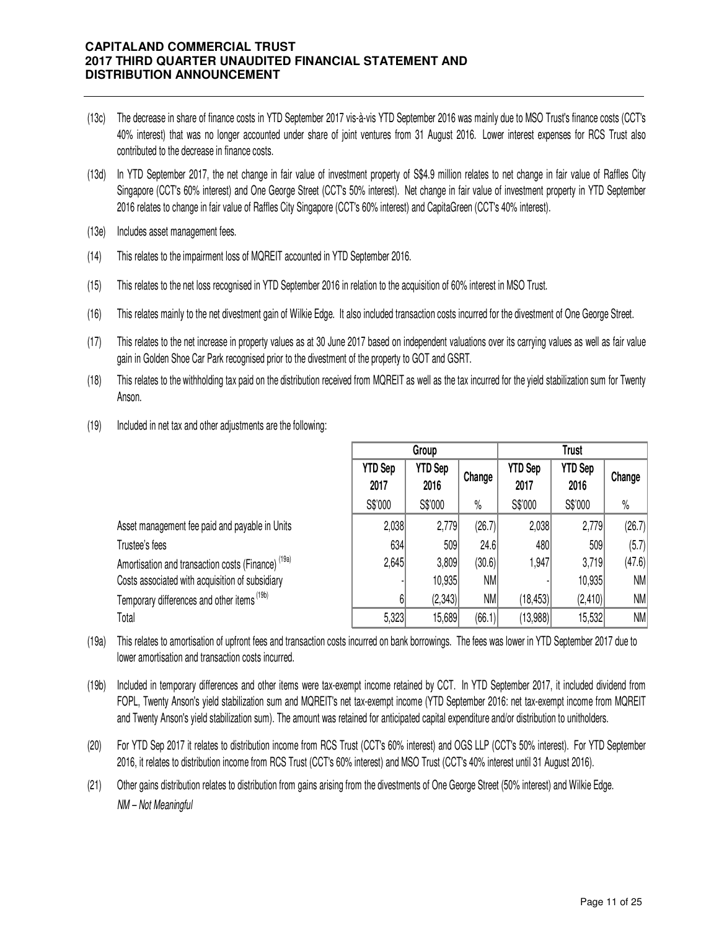- (13c) The decrease in share of finance costs in YTD September 2017 vis-à-vis YTD September 2016 was mainly due to MSO Trust's finance costs (CCT's 40% interest) that was no longer accounted under share of joint ventures from 31 August 2016. Lower interest expenses for RCS Trust also contributed to the decrease in finance costs.
- (13d) In YTD September 2017, the net change in fair value of investment property of S\$4.9 million relates to net change in fair value of Raffles City Singapore (CCT's 60% interest) and One George Street (CCT's 50% interest). Net change in fair value of investment property in YTD September 2016 relates to change in fair value of Raffles City Singapore (CCT's 60% interest) and CapitaGreen (CCT's 40% interest).
- (13e) Includes asset management fees.
- (14) This relates to the impairment loss of MQREIT accounted in YTD September 2016.
- (15) This relates to the net loss recognised in YTD September 2016 in relation to the acquisition of 60% interest in MSO Trust.
- (16) This relates mainly to the net divestment gain of Wilkie Edge. It also included transaction costs incurred for the divestment of One George Street.
- (17) This relates to the net increase in property values as at 30 June 2017 based on independent valuations over its carrying values as well as fair value gain in Golden Shoe Car Park recognised prior to the divestment of the property to GOT and GSRT.
- (18) This relates to the withholding tax paid on the distribution received from MQREIT as well as the tax incurred for the yield stabilization sum for Twenty Anson.
- (19) Included in net tax and other adjustments are the following:

|                                                               |                        | Group                  |        | <b>Trust</b>           |                        |           |  |
|---------------------------------------------------------------|------------------------|------------------------|--------|------------------------|------------------------|-----------|--|
|                                                               | <b>YTD Sep</b><br>2017 | <b>YTD Sep</b><br>2016 | Change | <b>YTD Sep</b><br>2017 | <b>YTD Sep</b><br>2016 | Change    |  |
|                                                               | S\$'000                | S\$'000                | $\%$   | S\$'000                | S\$'000                | $\%$      |  |
| Asset management fee paid and payable in Units                | 2,038                  | 2,779                  | (26.7) | 2,038                  | 2,779                  | (26.7)    |  |
| Trustee's fees                                                | 634                    | 509                    | 24.6   | 480                    | 509                    | (5.7)     |  |
| Amortisation and transaction costs (Finance) <sup>(19a)</sup> | 2,645                  | 3,809                  | (30.6) | 1,947                  | 3,719                  | (47.6)    |  |
| Costs associated with acquisition of subsidiary               |                        | 10,935                 | NM     |                        | 10,935                 | <b>NM</b> |  |
| Temporary differences and other items <sup>(19b)</sup>        | 6                      | (2,343)                | NM     | (18, 453)              | (2, 410)               | NM        |  |
| Total                                                         | 5,323                  | 15,689                 | (66.1) | (13,988)               | 15,532                 | <b>NM</b> |  |

- (19a) This relates to amortisation of upfront fees and transaction costs incurred on bank borrowings. The fees was lower in YTD September 2017 due to lower amortisation and transaction costs incurred.
- (19b) Included in temporary differences and other items were tax-exempt income retained by CCT. In YTD September 2017, it included dividend from FOPL, Twenty Anson's yield stabilization sum and MQREIT's net tax-exempt income (YTD September 2016: net tax-exempt income from MQREIT and Twenty Anson's yield stabilization sum). The amount was retained for anticipated capital expenditure and/or distribution to unitholders.
- (20) For YTD Sep 2017 it relates to distribution income from RCS Trust (CCT's 60% interest) and OGS LLP (CCT's 50% interest). For YTD September 2016, it relates to distribution income from RCS Trust (CCT's 60% interest) and MSO Trust (CCT's 40% interest until 31 August 2016).
- (21) Other gains distribution relates to distribution from gains arising from the divestments of One George Street (50% interest) and Wilkie Edge. NM – Not Meaningful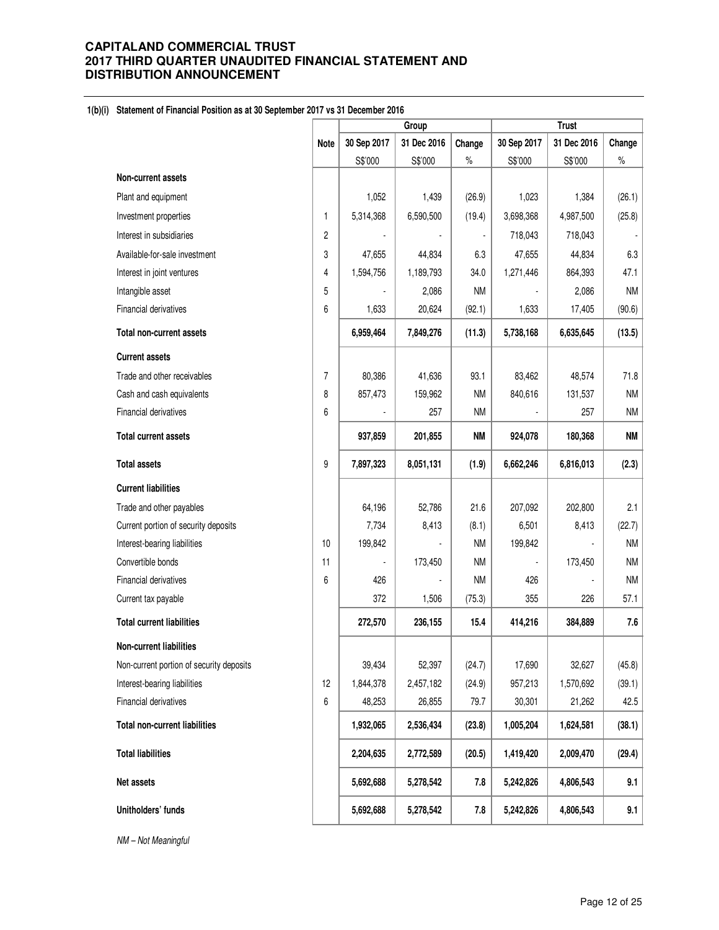### **1(b)(i) Statement of Financial Position as at 30 September 2017 vs 31 December 2016**

|                                          |                | Group       |             | <b>Trust</b> |             |             |           |
|------------------------------------------|----------------|-------------|-------------|--------------|-------------|-------------|-----------|
|                                          | <b>Note</b>    | 30 Sep 2017 | 31 Dec 2016 | Change       | 30 Sep 2017 | 31 Dec 2016 | Change    |
|                                          |                | S\$'000     | S\$'000     | $\%$         | S\$'000     | S\$'000     | $\%$      |
| Non-current assets                       |                |             |             |              |             |             |           |
| Plant and equipment                      |                | 1,052       | 1,439       | (26.9)       | 1,023       | 1,384       | (26.1)    |
| Investment properties                    | $\mathbf{1}$   | 5,314,368   | 6,590,500   | (19.4)       | 3,698,368   | 4,987,500   | (25.8)    |
| Interest in subsidiaries                 | $\overline{c}$ |             |             |              | 718,043     | 718,043     |           |
| Available-for-sale investment            | 3              | 47,655      | 44,834      | 6.3          | 47,655      | 44,834      | 6.3       |
| Interest in joint ventures               | 4              | 1,594,756   | 1,189,793   | 34.0         | 1,271,446   | 864,393     | 47.1      |
| Intangible asset                         | 5              |             | 2,086       | <b>NM</b>    |             | 2,086       | <b>NM</b> |
| Financial derivatives                    | 6              | 1,633       | 20,624      | (92.1)       | 1,633       | 17,405      | (90.6)    |
| Total non-current assets                 |                | 6,959,464   | 7,849,276   | (11.3)       | 5,738,168   | 6,635,645   | (13.5)    |
| <b>Current assets</b>                    |                |             |             |              |             |             |           |
| Trade and other receivables              | $\overline{7}$ | 80,386      | 41,636      | 93.1         | 83,462      | 48,574      | 71.8      |
| Cash and cash equivalents                | 8              | 857,473     | 159,962     | <b>NM</b>    | 840,616     | 131,537     | <b>NM</b> |
| Financial derivatives                    | 6              |             | 257         | <b>NM</b>    |             | 257         | ΝM        |
| <b>Total current assets</b>              |                | 937,859     | 201,855     | <b>NM</b>    | 924,078     | 180,368     | <b>NM</b> |
| <b>Total assets</b>                      | 9              | 7,897,323   | 8,051,131   | (1.9)        | 6,662,246   | 6,816,013   | (2.3)     |
| <b>Current liabilities</b>               |                |             |             |              |             |             |           |
| Trade and other payables                 |                | 64,196      | 52,786      | 21.6         | 207,092     | 202,800     | 2.1       |
| Current portion of security deposits     |                | 7,734       | 8,413       | (8.1)        | 6,501       | 8,413       | (22.7)    |
| Interest-bearing liabilities             | 10             | 199,842     |             | <b>NM</b>    | 199,842     |             | <b>NM</b> |
| Convertible bonds                        | 11             |             | 173,450     | <b>NM</b>    |             | 173,450     | <b>NM</b> |
| Financial derivatives                    | 6              | 426         |             | <b>NM</b>    | 426         |             | <b>NM</b> |
| Current tax payable                      |                | 372         | 1,506       | (75.3)       | 355         | 226         | 57.1      |
| <b>Total current liabilities</b>         |                | 272,570     | 236,155     | 15.4         | 414,216     | 384,889     | 7.6       |
| <b>Non-current liabilities</b>           |                |             |             |              |             |             |           |
| Non-current portion of security deposits |                | 39,434      | 52,397      | (24.7)       | 17,690      | 32,627      | (45.8)    |
| Interest-bearing liabilities             | 12             | 1,844,378   | 2,457,182   | (24.9)       | 957,213     | 1,570,692   | (39.1)    |
| Financial derivatives                    | 6              | 48,253      | 26,855      | 79.7         | 30,301      | 21,262      | 42.5      |
| <b>Total non-current liabilities</b>     |                | 1,932,065   | 2,536,434   | (23.8)       | 1,005,204   | 1,624,581   | (38.1)    |
| <b>Total liabilities</b>                 |                | 2,204,635   | 2,772,589   | (20.5)       | 1,419,420   | 2,009,470   | (29.4)    |
| Net assets                               |                | 5,692,688   | 5,278,542   | 7.8          | 5,242,826   | 4,806,543   | 9.1       |
| Unitholders' funds                       |                | 5,692,688   | 5,278,542   | 7.8          | 5,242,826   | 4,806,543   | 9.1       |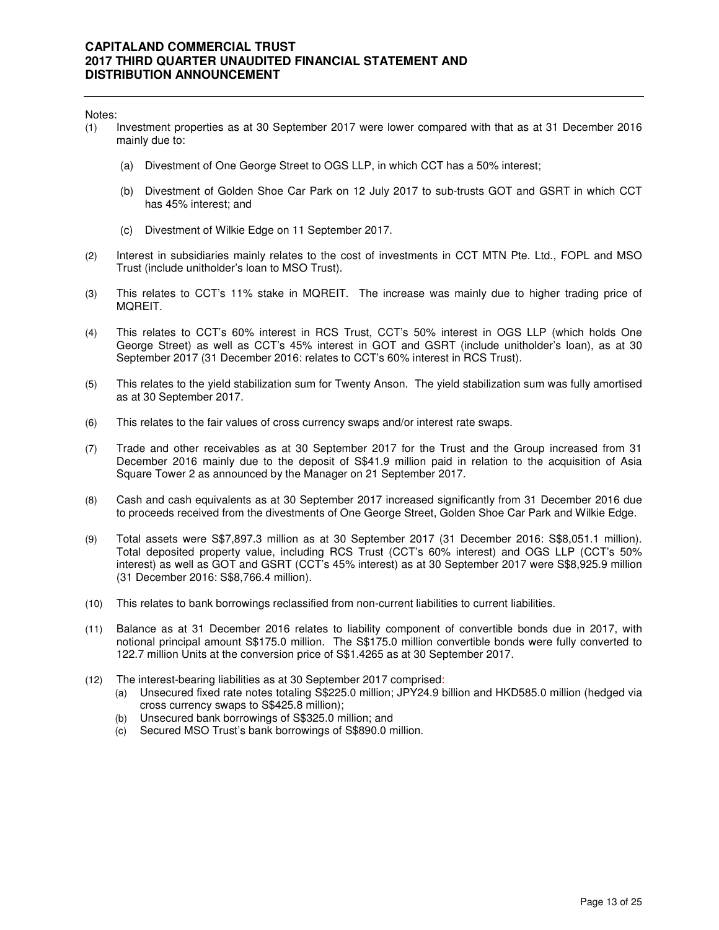Notes:

- (1) Investment properties as at 30 September 2017 were lower compared with that as at 31 December 2016 mainly due to:
	- (a) Divestment of One George Street to OGS LLP, in which CCT has a 50% interest;
	- (b) Divestment of Golden Shoe Car Park on 12 July 2017 to sub-trusts GOT and GSRT in which CCT has 45% interest; and
	- (c) Divestment of Wilkie Edge on 11 September 2017.
- (2) Interest in subsidiaries mainly relates to the cost of investments in CCT MTN Pte. Ltd., FOPL and MSO Trust (include unitholder's loan to MSO Trust).
- (3) This relates to CCT's 11% stake in MQREIT. The increase was mainly due to higher trading price of MQREIT.
- (4) This relates to CCT's 60% interest in RCS Trust, CCT's 50% interest in OGS LLP (which holds One George Street) as well as CCT's 45% interest in GOT and GSRT (include unitholder's loan), as at 30 September 2017 (31 December 2016: relates to CCT's 60% interest in RCS Trust).
- (5) This relates to the yield stabilization sum for Twenty Anson. The yield stabilization sum was fully amortised as at 30 September 2017.
- (6) This relates to the fair values of cross currency swaps and/or interest rate swaps.
- (7) Trade and other receivables as at 30 September 2017 for the Trust and the Group increased from 31 December 2016 mainly due to the deposit of S\$41.9 million paid in relation to the acquisition of Asia Square Tower 2 as announced by the Manager on 21 September 2017.
- (8) Cash and cash equivalents as at 30 September 2017 increased significantly from 31 December 2016 due to proceeds received from the divestments of One George Street, Golden Shoe Car Park and Wilkie Edge.
- (9) Total assets were S\$7,897.3 million as at 30 September 2017 (31 December 2016: S\$8,051.1 million). Total deposited property value, including RCS Trust (CCT's 60% interest) and OGS LLP (CCT's 50% interest) as well as GOT and GSRT (CCT's 45% interest) as at 30 September 2017 were S\$8,925.9 million (31 December 2016: S\$8,766.4 million).
- (10) This relates to bank borrowings reclassified from non-current liabilities to current liabilities.
- (11) Balance as at 31 December 2016 relates to liability component of convertible bonds due in 2017, with notional principal amount S\$175.0 million. The S\$175.0 million convertible bonds were fully converted to 122.7 million Units at the conversion price of S\$1.4265 as at 30 September 2017.
- (12) The interest-bearing liabilities as at 30 September 2017 comprised:
	- (a) Unsecured fixed rate notes totaling S\$225.0 million; JPY24.9 billion and HKD585.0 million (hedged via cross currency swaps to S\$425.8 million);
	- (b) Unsecured bank borrowings of S\$325.0 million; and
	- (c) Secured MSO Trust's bank borrowings of S\$890.0 million.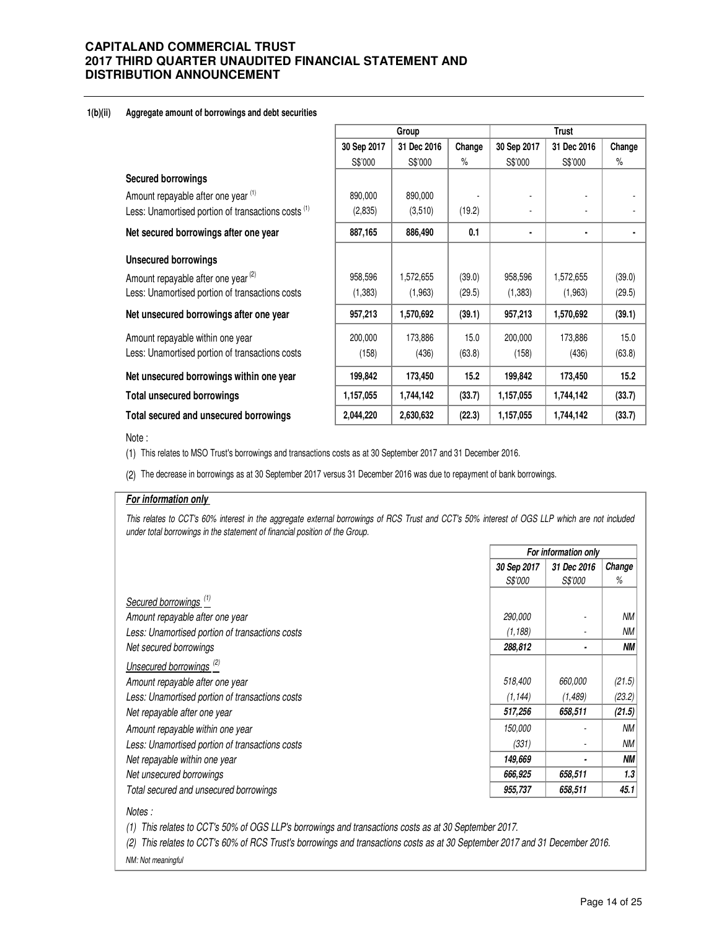#### **1(b)(ii) Aggregate amount of borrowings and debt securities**

|                                                                |             | Group       |        | <b>Trust</b> |             |        |
|----------------------------------------------------------------|-------------|-------------|--------|--------------|-------------|--------|
|                                                                | 30 Sep 2017 | 31 Dec 2016 | Change | 30 Sep 2017  | 31 Dec 2016 | Change |
|                                                                | S\$'000     | S\$'000     | %      | S\$'000      | S\$'000     | $\%$   |
| <b>Secured borrowings</b>                                      |             |             |        |              |             |        |
| Amount repayable after one year (1)                            | 890,000     | 890,000     |        |              |             |        |
| Less: Unamortised portion of transactions costs <sup>(1)</sup> | (2,835)     | (3,510)     | (19.2) |              |             |        |
| Net secured borrowings after one year                          | 887,165     | 886,490     | 0.1    | ٠            | ٠           |        |
| <b>Unsecured borrowings</b>                                    |             |             |        |              |             |        |
| Amount repayable after one year <sup>(2)</sup>                 | 958,596     | 1,572,655   | (39.0) | 958,596      | 1,572,655   | (39.0) |
| Less: Unamortised portion of transactions costs                | (1,383)     | (1,963)     | (29.5) | (1, 383)     | (1,963)     | (29.5) |
| Net unsecured borrowings after one year                        | 957,213     | 1,570,692   | (39.1) | 957,213      | 1,570,692   | (39.1) |
| Amount repayable within one year                               | 200,000     | 173,886     | 15.0   | 200,000      | 173,886     | 15.0   |
| Less: Unamortised portion of transactions costs                | (158)       | (436)       | (63.8) | (158)        | (436)       | (63.8) |
| Net unsecured borrowings within one year                       | 199,842     | 173,450     | 15.2   | 199,842      | 173,450     | 15.2   |
| <b>Total unsecured borrowings</b>                              | 1,157,055   | 1,744,142   | (33.7) | 1,157,055    | 1,744,142   | (33.7) |
| Total secured and unsecured borrowings                         | 2,044,220   | 2,630,632   | (22.3) | 1,157,055    | 1,744,142   | (33.7) |

#### Note :

(1) This relates to MSO Trust's borrowings and transactions costs as at 30 September 2017 and 31 December 2016.

(2) The decrease in borrowings as at 30 September 2017 versus 31 December 2016 was due to repayment of bank borrowings.

#### **For information only**

This relates to CCT's 60% interest in the aggregate external borrowings of RCS Trust and CCT's 50% interest of OGS LLP which are not included under total borrowings in the statement of financial position of the Group.

|                                                 | For information only |                |           |  |
|-------------------------------------------------|----------------------|----------------|-----------|--|
|                                                 | 30 Sep 2017          | 31 Dec 2016    | Change    |  |
|                                                 | S\$'000              | <i>S\$'000</i> | %         |  |
| Secured borrowings <sup>(1)</sup>               |                      |                |           |  |
| Amount repayable after one year                 | 290,000              |                | <b>NM</b> |  |
| Less: Unamortised portion of transactions costs | (1, 188)             |                | <b>NM</b> |  |
| Net secured borrowings                          | 288,812              |                | <b>NM</b> |  |
| Unsecured borrowings <sup>(2)</sup>             |                      |                |           |  |
| Amount repayable after one year                 | 518,400              | 660,000        | (21.5)    |  |
| Less: Unamortised portion of transactions costs | (1, 144)             | (1,489)        | (23.2)    |  |
| Net repayable after one year                    | 517,256              | 658,511        | (21.5)    |  |
| Amount repayable within one year                | 150,000              |                | <b>NM</b> |  |
| Less: Unamortised portion of transactions costs | (331)                |                | <b>NM</b> |  |
| Net repayable within one year                   | 149,669              |                | <b>NM</b> |  |
| Net unsecured borrowings                        | 666,925              | 658,511        | 1.3       |  |
| Total secured and unsecured borrowings          | 955,737              | 658,511        | 45.1      |  |

#### Notes :

(1) This relates to CCT's 50% of OGS LLP's borrowings and transactions costs as at 30 September 2017.

(2) This relates to CCT's 60% of RCS Trust's borrowings and transactions costs as at 30 September 2017 and 31 December 2016. NM: Not meaningful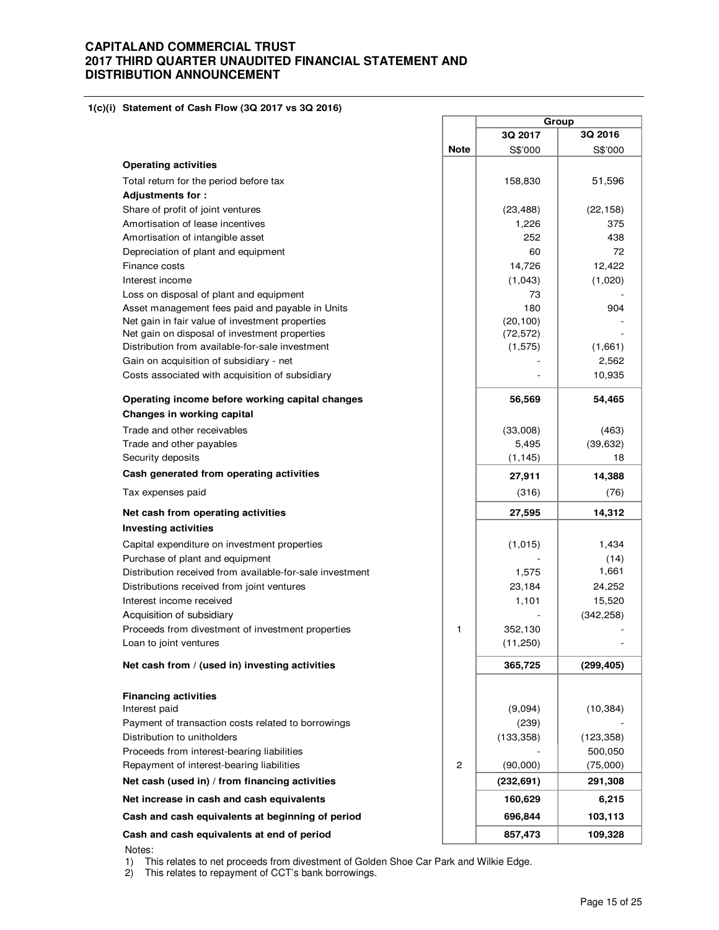**1(c)(i) Statement of Cash Flow (3Q 2017 vs 3Q 2016)** 

|                                                          |              | Group      |                 |
|----------------------------------------------------------|--------------|------------|-----------------|
|                                                          |              | 3Q 2017    | 3Q 2016         |
|                                                          | <b>Note</b>  | S\$'000    | S\$'000         |
| <b>Operating activities</b>                              |              |            |                 |
| Total return for the period before tax                   |              | 158,830    | 51,596          |
| <b>Adjustments for:</b>                                  |              |            |                 |
| Share of profit of joint ventures                        |              | (23, 488)  | (22, 158)       |
| Amortisation of lease incentives                         |              | 1,226      | 375             |
| Amortisation of intangible asset                         |              | 252        | 438             |
| Depreciation of plant and equipment                      |              | 60         |                 |
| Finance costs                                            |              | 14,726     | 12.422          |
| Interest income                                          |              | (1,043)    | (1,020)         |
| Loss on disposal of plant and equipment                  |              | 73         |                 |
| Asset management fees paid and payable in Units          |              | 180        | 904             |
| Net gain in fair value of investment properties          |              | (20, 100)  |                 |
| Net gain on disposal of investment properties            |              | (72, 572)  |                 |
| Distribution from available-for-sale investment          |              | (1, 575)   | (1,661)         |
| Gain on acquisition of subsidiary - net                  |              |            | 2,562<br>10,935 |
| Costs associated with acquisition of subsidiary          |              |            |                 |
| Operating income before working capital changes          |              | 56,569     | 54,465          |
| Changes in working capital                               |              |            |                 |
| Trade and other receivables                              |              | (33,008)   | (463)           |
| Trade and other payables                                 |              | 5,495      | (39, 632)       |
| Security deposits                                        |              | (1, 145)   |                 |
| Cash generated from operating activities                 |              | 27,911     | 14,388          |
| Tax expenses paid                                        |              | (316)      | (76)            |
| Net cash from operating activities                       |              | 27,595     | 14,312          |
| <b>Investing activities</b>                              |              |            |                 |
| Capital expenditure on investment properties             |              | (1,015)    | 1,434           |
| Purchase of plant and equipment                          |              |            | (14)            |
| Distribution received from available-for-sale investment |              | 1,575      | 1,661           |
| Distributions received from joint ventures               |              | 23,184     | 24,252          |
| Interest income received                                 |              | 1,101      | 15,520          |
| Acquisition of subsidiary                                |              |            | (342, 258)      |
| Proceeds from divestment of investment properties        | 1            | 352,130    |                 |
| Loan to joint ventures                                   |              | (11,250)   |                 |
| Net cash from / (used in) investing activities           |              | 365,725    | (299,405)       |
| <b>Financing activities</b>                              |              |            |                 |
| Interest paid                                            |              | (9,094)    | (10, 384)       |
| Payment of transaction costs related to borrowings       |              | (239)      |                 |
| Distribution to unitholders                              |              | (133, 358) | (123, 358)      |
| Proceeds from interest-bearing liabilities               |              |            | 500,050         |
| Repayment of interest-bearing liabilities                | $\mathbf{2}$ | (90,000)   | (75,000)        |
| Net cash (used in) / from financing activities           |              | (232, 691) | 291,308         |
| Net increase in cash and cash equivalents                |              | 160,629    | 6,215           |
| Cash and cash equivalents at beginning of period         |              | 696,844    | 103,113         |
| Cash and cash equivalents at end of period               |              | 857,473    | 109,328         |
| Notes:                                                   |              |            |                 |

1) This relates to net proceeds from divestment of Golden Shoe Car Park and Wilkie Edge.

2) This relates to repayment of CCT's bank borrowings.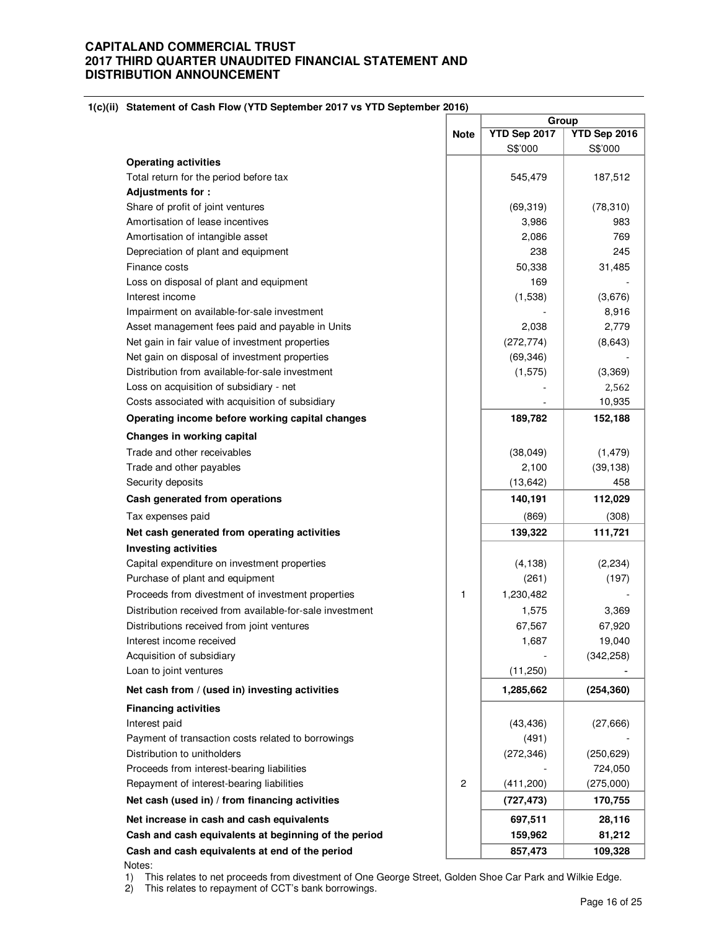| $U(0)$ statement of Cash Flow (TTD september 2017 vs TTD september 2010) |                | Group        |              |  |  |
|--------------------------------------------------------------------------|----------------|--------------|--------------|--|--|
|                                                                          | <b>Note</b>    | YTD Sep 2017 | YTD Sep 2016 |  |  |
|                                                                          |                | S\$'000      | S\$'000      |  |  |
| <b>Operating activities</b>                                              |                |              |              |  |  |
| Total return for the period before tax                                   |                | 545,479      | 187,512      |  |  |
| Adjustments for:                                                         |                |              |              |  |  |
| Share of profit of joint ventures                                        |                | (69, 319)    | (78, 310)    |  |  |
| Amortisation of lease incentives                                         |                | 3,986        | 983          |  |  |
| Amortisation of intangible asset                                         |                | 2,086        | 769          |  |  |
| Depreciation of plant and equipment                                      |                | 238          | 245          |  |  |
| Finance costs                                                            |                | 50,338       | 31,485       |  |  |
| Loss on disposal of plant and equipment                                  |                | 169          |              |  |  |
| Interest income                                                          |                | (1,538)      | (3,676)      |  |  |
| Impairment on available-for-sale investment                              |                |              | 8,916        |  |  |
| Asset management fees paid and payable in Units                          |                | 2,038        | 2,779        |  |  |
| Net gain in fair value of investment properties                          |                | (272, 774)   | (8,643)      |  |  |
| Net gain on disposal of investment properties                            |                | (69, 346)    |              |  |  |
| Distribution from available-for-sale investment                          |                | (1, 575)     | (3,369)      |  |  |
| Loss on acquisition of subsidiary - net                                  |                |              | 2,562        |  |  |
| Costs associated with acquisition of subsidiary                          |                |              | 10,935       |  |  |
| Operating income before working capital changes                          |                | 189,782      | 152,188      |  |  |
| Changes in working capital                                               |                |              |              |  |  |
| Trade and other receivables                                              |                | (38,049)     | (1, 479)     |  |  |
| Trade and other payables                                                 |                | 2,100        | (39, 138)    |  |  |
| Security deposits                                                        |                | (13, 642)    | 458          |  |  |
| Cash generated from operations                                           |                | 140,191      | 112,029      |  |  |
| Tax expenses paid                                                        |                | (869)        | (308)        |  |  |
| Net cash generated from operating activities                             |                | 139,322      | 111,721      |  |  |
| <b>Investing activities</b>                                              |                |              |              |  |  |
| Capital expenditure on investment properties                             |                | (4, 138)     | (2, 234)     |  |  |
| Purchase of plant and equipment                                          |                | (261)        | (197)        |  |  |
| Proceeds from divestment of investment properties                        | 1              | 1,230,482    |              |  |  |
| Distribution received from available-for-sale investment                 |                | 1,575        | 3,369        |  |  |
| Distributions received from joint ventures                               |                | 67,567       | 67,920       |  |  |
| Interest income received                                                 |                | 1,687        | 19,040       |  |  |
| Acquisition of subsidiary                                                |                |              | (342, 258)   |  |  |
| Loan to joint ventures                                                   |                | (11,250)     |              |  |  |
| Net cash from / (used in) investing activities                           |                | 1,285,662    | (254, 360)   |  |  |
| <b>Financing activities</b>                                              |                |              |              |  |  |
| Interest paid                                                            |                | (43, 436)    | (27, 666)    |  |  |
| Payment of transaction costs related to borrowings                       |                | (491)        |              |  |  |
| Distribution to unitholders                                              |                | (272, 346)   | (250, 629)   |  |  |
| Proceeds from interest-bearing liabilities                               |                |              | 724,050      |  |  |
| Repayment of interest-bearing liabilities                                | $\overline{c}$ | (411,200)    | (275,000)    |  |  |
| Net cash (used in) / from financing activities                           |                | (727, 473)   | 170,755      |  |  |
| Net increase in cash and cash equivalents                                |                | 697,511      | 28,116       |  |  |
| Cash and cash equivalents at beginning of the period                     |                | 159,962      | 81,212       |  |  |
| Cash and cash equivalents at end of the period                           |                | 857,473      | 109,328      |  |  |

**1(c)(ii) Statement of Cash Flow (YTD September 2017 vs YTD September 2016)**

 Notes: 1) This relates to net proceeds from divestment of One George Street, Golden Shoe Car Park and Wilkie Edge.

2) This relates to repayment of CCT's bank borrowings.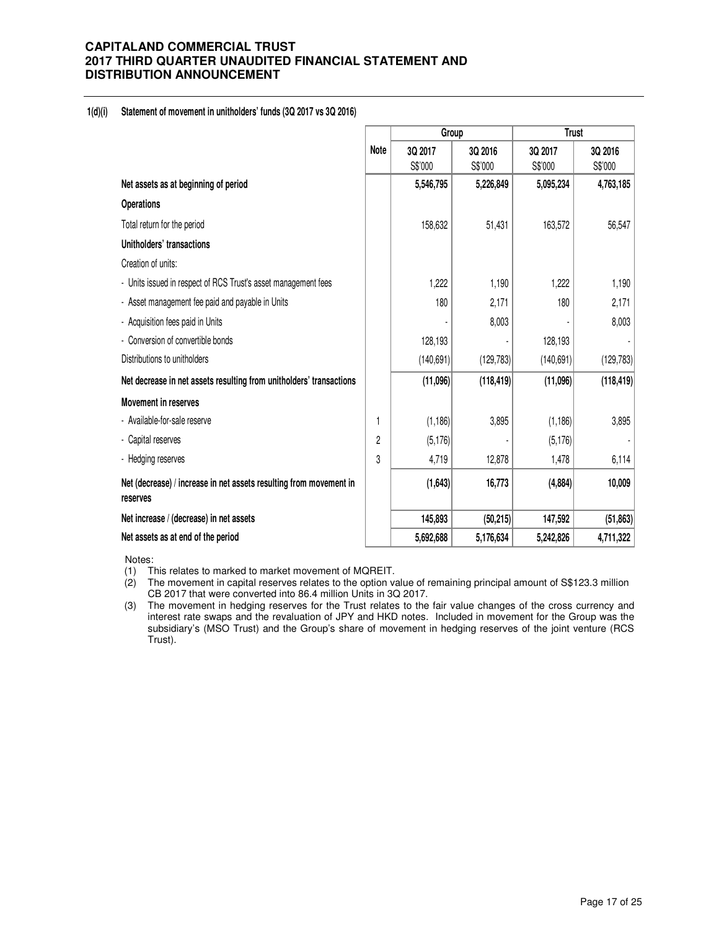#### **1(d)(i) Statement of movement in unitholders' funds (3Q 2017 vs 3Q 2016)**

|                                                                                |                | Group      |            | <b>Trust</b> |            |  |
|--------------------------------------------------------------------------------|----------------|------------|------------|--------------|------------|--|
|                                                                                | <b>Note</b>    | 3Q 2017    | 3Q 2016    | 3Q 2017      | 3Q 2016    |  |
|                                                                                |                | S\$'000    | S\$'000    | S\$'000      | S\$'000    |  |
| Net assets as at beginning of period                                           |                | 5,546,795  | 5,226,849  | 5,095,234    | 4,763,185  |  |
| <b>Operations</b>                                                              |                |            |            |              |            |  |
| Total return for the period                                                    |                | 158,632    | 51,431     | 163,572      | 56,547     |  |
| Unitholders' transactions                                                      |                |            |            |              |            |  |
| Creation of units:                                                             |                |            |            |              |            |  |
| - Units issued in respect of RCS Trust's asset management fees                 |                | 1,222      | 1,190      | 1,222        | 1,190      |  |
| - Asset management fee paid and payable in Units                               |                | 180        | 2,171      | 180          | 2,171      |  |
| - Acquisition fees paid in Units                                               |                |            | 8,003      |              | 8,003      |  |
| - Conversion of convertible bonds                                              |                | 128,193    |            | 128,193      |            |  |
| Distributions to unitholders                                                   |                | (140, 691) | (129, 783) | (140, 691)   | (129, 783) |  |
| Net decrease in net assets resulting from unitholders' transactions            |                | (11,096)   | (118, 419) | (11,096)     | (118, 419) |  |
| <b>Movement in reserves</b>                                                    |                |            |            |              |            |  |
| - Available-for-sale reserve                                                   | 1              | (1, 186)   | 3,895      | (1, 186)     | 3,895      |  |
| - Capital reserves                                                             | $\overline{c}$ | (5, 176)   |            | (5, 176)     |            |  |
| - Hedging reserves                                                             | 3              | 4,719      | 12,878     | 1,478        | 6,114      |  |
| Net (decrease) / increase in net assets resulting from movement in<br>reserves |                | (1, 643)   | 16,773     | (4,884)      | 10,009     |  |
| Net increase / (decrease) in net assets                                        |                | 145,893    | (50, 215)  | 147,592      | (51, 863)  |  |
| Net assets as at end of the period                                             |                | 5,692,688  | 5,176,634  | 5,242,826    | 4,711,322  |  |

Notes:

(1) This relates to marked to market movement of MQREIT.

(2) The movement in capital reserves relates to the option value of remaining principal amount of S\$123.3 million CB 2017 that were converted into 86.4 million Units in 3Q 2017.

(3) The movement in hedging reserves for the Trust relates to the fair value changes of the cross currency and interest rate swaps and the revaluation of JPY and HKD notes. Included in movement for the Group was the subsidiary's (MSO Trust) and the Group's share of movement in hedging reserves of the joint venture (RCS Trust).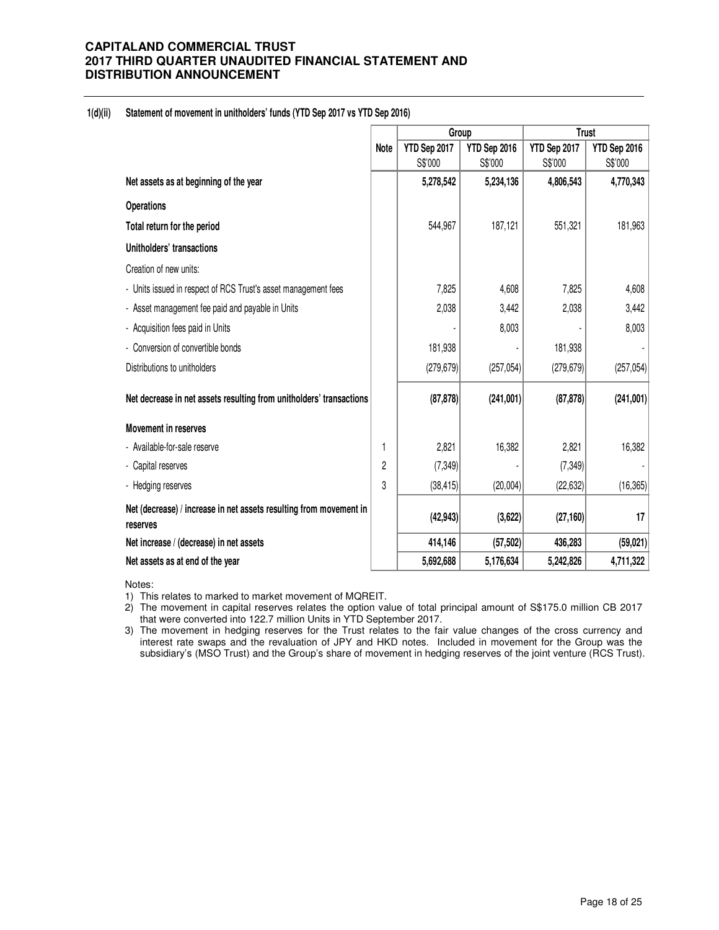### **1(d)(ii) Statement of movement in unitholders' funds (YTD Sep 2017 vs YTD Sep 2016)**

|                                                                                |             | Group        |              | <b>Trust</b> |              |  |
|--------------------------------------------------------------------------------|-------------|--------------|--------------|--------------|--------------|--|
|                                                                                | <b>Note</b> | YTD Sep 2017 | YTD Sep 2016 | YTD Sep 2017 | YTD Sep 2016 |  |
|                                                                                |             | S\$'000      | S\$'000      | S\$'000      | S\$'000      |  |
| Net assets as at beginning of the year                                         |             | 5,278,542    | 5,234,136    | 4,806,543    | 4,770,343    |  |
| <b>Operations</b>                                                              |             |              |              |              |              |  |
| Total return for the period                                                    |             | 544,967      | 187,121      | 551,321      | 181,963      |  |
| Unitholders' transactions                                                      |             |              |              |              |              |  |
| Creation of new units:                                                         |             |              |              |              |              |  |
| - Units issued in respect of RCS Trust's asset management fees                 |             | 7,825        | 4,608        | 7,825        | 4,608        |  |
| - Asset management fee paid and payable in Units                               |             | 2,038        | 3,442        | 2,038        | 3,442        |  |
| - Acquisition fees paid in Units                                               |             |              | 8,003        |              | 8,003        |  |
| - Conversion of convertible bonds                                              |             | 181,938      |              | 181,938      |              |  |
| Distributions to unitholders                                                   |             | (279, 679)   | (257, 054)   | (279, 679)   | (257, 054)   |  |
| Net decrease in net assets resulting from unitholders' transactions            |             | (87, 878)    | (241,001)    | (87, 878)    | (241,001)    |  |
| <b>Movement in reserves</b>                                                    |             |              |              |              |              |  |
| - Available-for-sale reserve                                                   | 1           | 2,821        | 16,382       | 2,821        | 16,382       |  |
| - Capital reserves                                                             | 2           | (7, 349)     |              | (7, 349)     |              |  |
| - Hedging reserves                                                             | 3           | (38, 415)    | (20,004)     | (22, 632)    | (16, 365)    |  |
| Net (decrease) / increase in net assets resulting from movement in<br>reserves |             | (42, 943)    | (3,622)      | (27, 160)    | 17           |  |
| Net increase / (decrease) in net assets                                        |             | 414,146      | (57, 502)    | 436,283      | (59, 021)    |  |
| Net assets as at end of the year                                               |             | 5,692,688    | 5,176,634    | 5,242,826    | 4,711,322    |  |

Notes:

- 1) This relates to marked to market movement of MQREIT.
- 2) The movement in capital reserves relates the option value of total principal amount of S\$175.0 million CB 2017 that were converted into 122.7 million Units in YTD September 2017.
- 3) The movement in hedging reserves for the Trust relates to the fair value changes of the cross currency and interest rate swaps and the revaluation of JPY and HKD notes. Included in movement for the Group was the subsidiary's (MSO Trust) and the Group's share of movement in hedging reserves of the joint venture (RCS Trust).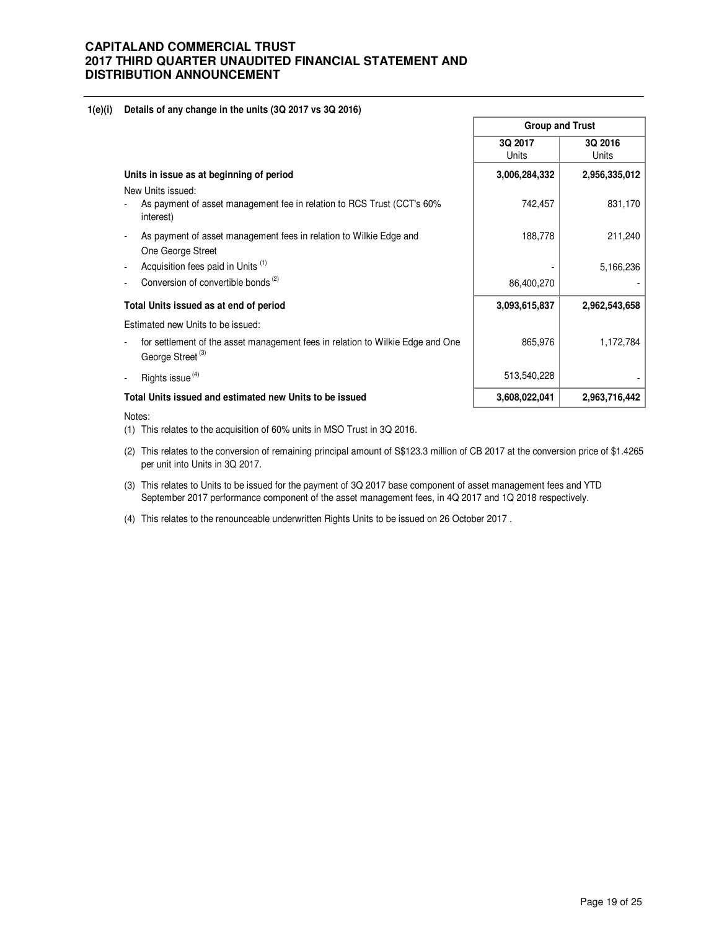### **1(e)(i) Details of any change in the units (3Q 2017 vs 3Q 2016)**

|                                                                                                                | <b>Group and Trust</b> |                  |  |
|----------------------------------------------------------------------------------------------------------------|------------------------|------------------|--|
|                                                                                                                | 3Q 2017<br>Units       | 3Q 2016<br>Units |  |
| Units in issue as at beginning of period                                                                       | 3,006,284,332          | 2,956,335,012    |  |
| New Units issued:                                                                                              |                        |                  |  |
| As payment of asset management fee in relation to RCS Trust (CCT's 60%<br>interest)                            | 742,457                | 831,170          |  |
| As payment of asset management fees in relation to Wilkie Edge and                                             | 188,778                | 211,240          |  |
| One George Street                                                                                              |                        |                  |  |
| Acquisition fees paid in Units (1)                                                                             |                        | 5,166,236        |  |
| Conversion of convertible bonds <sup>(2)</sup>                                                                 | 86,400,270             |                  |  |
| Total Units issued as at end of period                                                                         | 3,093,615,837          | 2,962,543,658    |  |
| Estimated new Units to be issued:                                                                              |                        |                  |  |
| for settlement of the asset management fees in relation to Wilkie Edge and One<br>George Street <sup>(3)</sup> | 865,976                | 1,172,784        |  |
| Rights issue <sup>(4)</sup>                                                                                    | 513,540,228            |                  |  |
| Total Units issued and estimated new Units to be issued                                                        | 3,608,022,041          | 2,963,716,442    |  |

#### Notes:

(1) This relates to the acquisition of 60% units in MSO Trust in 3Q 2016.

- (2) This relates to the conversion of remaining principal amount of S\$123.3 million of CB 2017 at the conversion price of \$1.4265 per unit into Units in 3Q 2017.
- (3) This relates to Units to be issued for the payment of 3Q 2017 base component of asset management fees and YTD September 2017 performance component of the asset management fees, in 4Q 2017 and 1Q 2018 respectively.
- (4) This relates to the renounceable underwritten Rights Units to be issued on 26 October 2017 .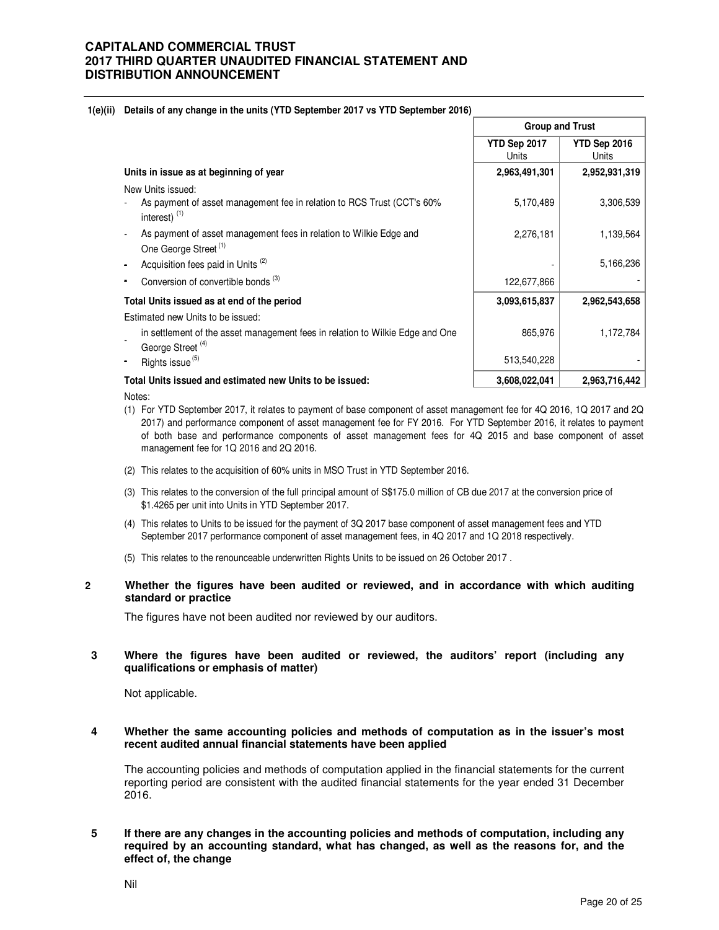#### **1(e)(ii) Details of any change in the units (YTD September 2017 vs YTD September 2016)**

|                                                                                                                | <b>Group and Trust</b> |                       |  |
|----------------------------------------------------------------------------------------------------------------|------------------------|-----------------------|--|
|                                                                                                                | YTD Sep 2017<br>Units  | YTD Sep 2016<br>Units |  |
| Units in issue as at beginning of year                                                                         | 2,963,491,301          | 2,952,931,319         |  |
| New Units issued:<br>As payment of asset management fee in relation to RCS Trust (CCT's 60%<br>interest) $(1)$ | 5,170,489              | 3,306,539             |  |
| As payment of asset management fees in relation to Wilkie Edge and<br>One George Street <sup>(1)</sup>         | 2,276,181              | 1,139,564             |  |
| Acquisition fees paid in Units <sup>(2)</sup>                                                                  |                        | 5,166,236             |  |
| Conversion of convertible bonds <sup>(3)</sup>                                                                 | 122,677,866            |                       |  |
| Total Units issued as at end of the period                                                                     | 3,093,615,837          | 2,962,543,658         |  |
| Estimated new Units to be issued:                                                                              |                        |                       |  |
| in settlement of the asset management fees in relation to Wilkie Edge and One<br>George Street <sup>(4)</sup>  | 865,976                | 1,172,784             |  |
| Rights issue <sup>(5)</sup>                                                                                    | 513,540,228            |                       |  |
| Total Units issued and estimated new Units to be issued:                                                       | 3,608,022,041          | 2,963,716,442         |  |

Notes:

- (1) For YTD September 2017, it relates to payment of base component of asset management fee for 4Q 2016, 1Q 2017 and 2Q 2017) and performance component of asset management fee for FY 2016. For YTD September 2016, it relates to payment of both base and performance components of asset management fees for 4Q 2015 and base component of asset management fee for 1Q 2016 and 2Q 2016.
- (2) This relates to the acquisition of 60% units in MSO Trust in YTD September 2016.
- (3) This relates to the conversion of the full principal amount of S\$175.0 million of CB due 2017 at the conversion price of \$1.4265 per unit into Units in YTD September 2017.
- (4) This relates to Units to be issued for the payment of 3Q 2017 base component of asset management fees and YTD September 2017 performance component of asset management fees, in 4Q 2017 and 1Q 2018 respectively.
- (5) This relates to the renounceable underwritten Rights Units to be issued on 26 October 2017 .

### **2 Whether the figures have been audited or reviewed, and in accordance with which auditing standard or practice**

The figures have not been audited nor reviewed by our auditors.

### **3 Where the figures have been audited or reviewed, the auditors' report (including any qualifications or emphasis of matter)**

Not applicable.

### **4 Whether the same accounting policies and methods of computation as in the issuer's most recent audited annual financial statements have been applied**

The accounting policies and methods of computation applied in the financial statements for the current reporting period are consistent with the audited financial statements for the year ended 31 December 2016.

**5 If there are any changes in the accounting policies and methods of computation, including any required by an accounting standard, what has changed, as well as the reasons for, and the effect of, the change**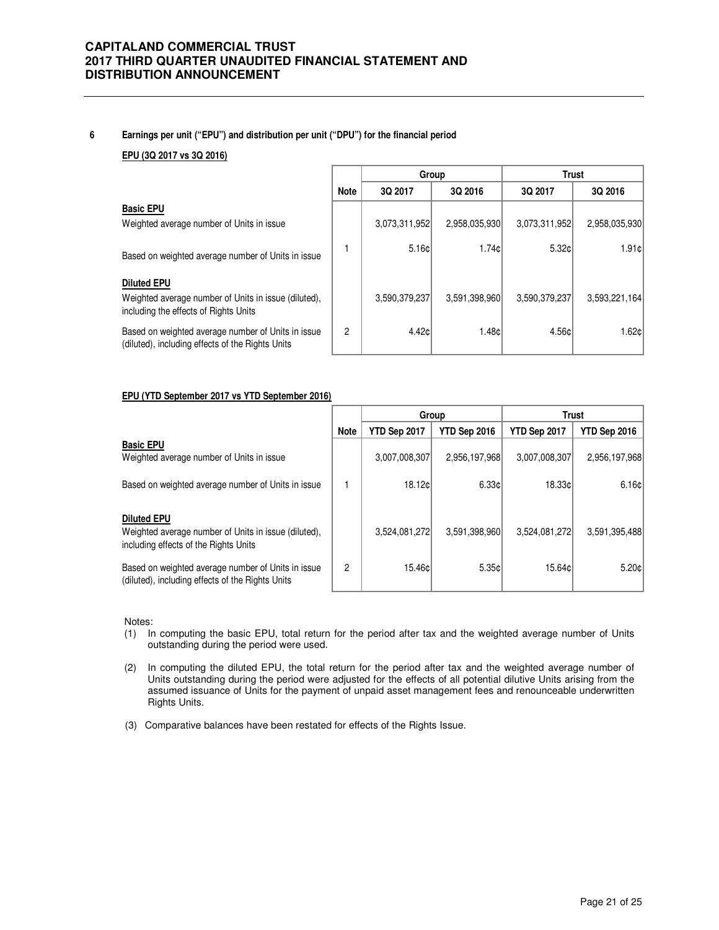### **6 Earnings per unit ("EPU") and distribution per unit ("DPU") for the financial period**

#### **EPU (3Q 2017 vs 3Q 2016)**

|                                                                                                                     |             | Group         |               |               | <b>Trust</b>  |
|---------------------------------------------------------------------------------------------------------------------|-------------|---------------|---------------|---------------|---------------|
|                                                                                                                     | <b>Note</b> | 3Q 2017       | 3Q 2016       | 3Q 2017       | 3Q 2016       |
| <b>Basic EPU</b><br>Weighted average number of Units in issue                                                       |             | 3,073,311,952 | 2,958,035,930 | 3,073,311,952 | 2,958,035,930 |
| Based on weighted average number of Units in issue                                                                  |             | 5.16c         | 1.74c         | 5.32c         | 1.91c         |
| <b>Diluted EPU</b><br>Weighted average number of Units in issue (diluted).<br>including the effects of Rights Units |             | 3,590,379,237 | 3,591,398,960 | 3,590,379,237 | 3,593,221,164 |
| Based on weighted average number of Units in issue<br>(diluted), including effects of the Rights Units              | 2           | 4.42c         | 1.48¢         | 4.56¢         | 1.62c         |

#### **EPU (YTD September 2017 vs YTD September 2016)**

|                                                                                                                     |             | <b>Trust</b><br>Group |               |               |               |
|---------------------------------------------------------------------------------------------------------------------|-------------|-----------------------|---------------|---------------|---------------|
|                                                                                                                     | <b>Note</b> | YTD Sep 2017          | YTD Sep 2016  | YTD Sep 2017  | YTD Sep 2016  |
| <b>Basic EPU</b><br>Weighted average number of Units in issue                                                       |             | 3,007,008,307         | 2,956,197,968 | 3,007,008,307 | 2,956,197,968 |
| Based on weighted average number of Units in issue                                                                  |             | 18.12cl               | 6.33c         | 18.33c        | 6.16c         |
| <b>Diluted EPU</b><br>Weighted average number of Units in issue (diluted),<br>including effects of the Rights Units |             | 3,524,081,272         | 3,591,398,960 | 3.524.081.272 | 3,591,395,488 |
| Based on weighted average number of Units in issue<br>(diluted), including effects of the Rights Units              | 2           | 15.46c                | 5.35c         | 15.64c        | 5.20c         |

Notes:

- (1) In computing the basic EPU, total return for the period after tax and the weighted average number of Units outstanding during the period were used.
- (2) In computing the diluted EPU, the total return for the period after tax and the weighted average number of Units outstanding during the period were adjusted for the effects of all potential dilutive Units arising from the assumed issuance of Units for the payment of unpaid asset management fees and renounceable underwritten Rights Units.
- (3) Comparative balances have been restated for effects of the Rights Issue.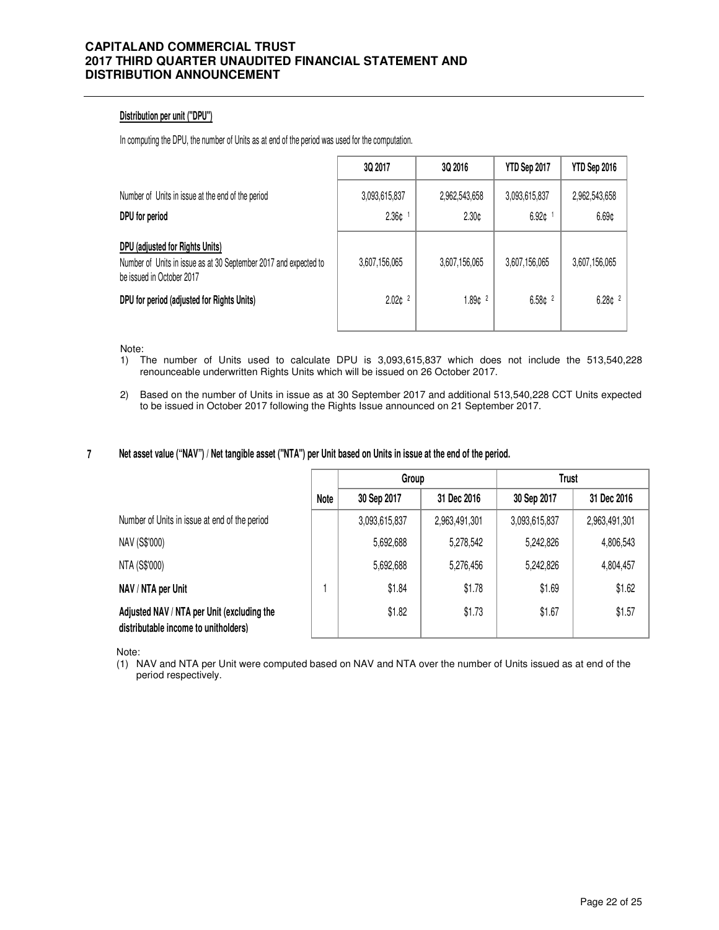### **Distribution per unit ("DPU")**

In computing the DPU, the number of Units as at end of the period was used for the computation.

|                                                                                                                                  | <b>3Q 2017</b>                        | <b>3Q 2016</b>         | YTD Sep 2017           | YTD Sep 2016           |
|----------------------------------------------------------------------------------------------------------------------------------|---------------------------------------|------------------------|------------------------|------------------------|
| Number of Units in issue at the end of the period<br>DPU for period                                                              | 3,093,615,837<br>$2.36c$ <sup>1</sup> | 2,962,543,658<br>2.30c | 3,093,615,837<br>6.92c | 2,962,543,658<br>6.69¢ |
| DPU (adjusted for Rights Units)<br>Number of Units in issue as at 30 September 2017 and expected to<br>be issued in October 2017 | 3,607,156,065                         | 3,607,156,065          | 3,607,156,065          | 3,607,156,065          |
| DPU for period (adjusted for Rights Units)                                                                                       | 2.02c <sup>2</sup>                    | 1.89c <sup>2</sup>     | 6.58c <sup>2</sup>     | 6.28c <sup>2</sup>     |

Note:

- 1) The number of Units used to calculate DPU is 3,093,615,837 which does not include the 513,540,228 renounceable underwritten Rights Units which will be issued on 26 October 2017.
- 2) Based on the number of Units in issue as at 30 September 2017 and additional 513,540,228 CCT Units expected to be issued in October 2017 following the Rights Issue announced on 21 September 2017.

#### **7 Net asset value ("NAV") / Net tangible asset ("NTA") per Unit based on Units in issue at the end of the period.**

|                                                                                    |      | Group         |               | <b>Trust</b>  |               |
|------------------------------------------------------------------------------------|------|---------------|---------------|---------------|---------------|
|                                                                                    | Note | 30 Sep 2017   | 31 Dec 2016   | 30 Sep 2017   | 31 Dec 2016   |
| Number of Units in issue at end of the period                                      |      | 3,093,615,837 | 2,963,491,301 | 3,093,615,837 | 2,963,491,301 |
| NAV (S\$'000)                                                                      |      | 5,692,688     | 5,278,542     | 5,242,826     | 4,806,543     |
| NTA (S\$'000)                                                                      |      | 5,692,688     | 5,276,456     | 5,242,826     | 4,804,457     |
| NAV / NTA per Unit                                                                 |      | \$1.84        | \$1.78        | \$1.69        | \$1.62        |
| Adjusted NAV / NTA per Unit (excluding the<br>distributable income to unitholders) |      | \$1.82        | \$1.73        | \$1.67        | \$1.57        |

Note:

(1) NAV and NTA per Unit were computed based on NAV and NTA over the number of Units issued as at end of the period respectively.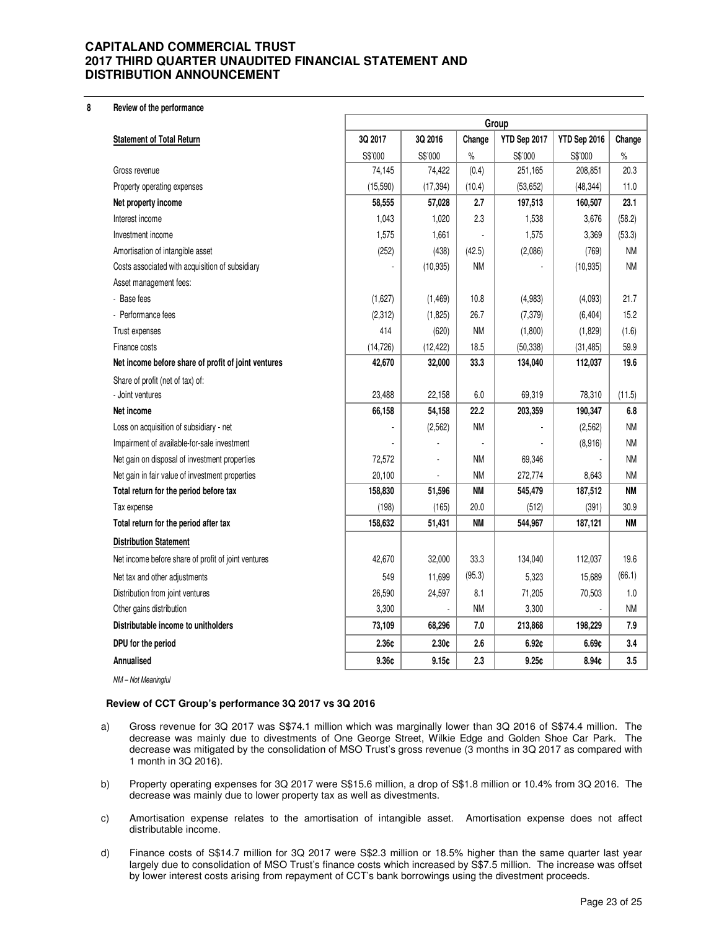#### **8 Review of the performance**

| 3Q 2017<br>3Q 2016<br>YTD Sep 2017<br>YTD Sep 2016<br>Change<br>Change<br><b>Statement of Total Return</b><br>S\$'000<br>S\$'000<br>$\frac{1}{2}$<br>S\$'000<br>S\$'000<br>$\%$<br>(0.4)<br>74,145<br>251,165<br>208,851<br>20.3<br>74,422<br>Gross revenue<br>(15, 590)<br>(17, 394)<br>(10.4)<br>(53, 652)<br>(48, 344)<br>11.0<br>Property operating expenses<br>2.7<br>197,513<br>23.1<br>58,555<br>57,028<br>160,507<br>Net property income<br>2.3<br>(58.2)<br>Interest income<br>1,043<br>1,020<br>1,538<br>3,676<br>Investment income<br>1,575<br>1,575<br>3,369<br>(53.3)<br>1,661<br><b>NM</b><br>(252)<br>(438)<br>(42.5)<br>(2,086)<br>Amortisation of intangible asset<br>(769)<br><b>NM</b><br>Costs associated with acquisition of subsidiary<br>(10, 935)<br>ΝM<br>(10, 935)<br>Asset management fees:<br>- Base fees<br>(1,627)<br>10.8<br>(4,983)<br>(4,093)<br>21.7<br>(1, 469)<br>26.7<br>Performance fees<br>(2, 312)<br>(7, 379)<br>(6, 404)<br>15.2<br>(1,825)<br>414<br><b>NM</b><br>(620)<br>(1,800)<br>(1,829)<br>(1.6)<br>Trust expenses<br>18.5<br>(50, 338)<br>(14, 726)<br>(12, 422)<br>(31, 485)<br>59.9<br>Finance costs<br>42,670<br>32,000<br>33.3<br>134,040<br>19.6<br>112,037<br>Net income before share of profit of joint ventures<br>Share of profit (net of tax) of:<br>23,488<br>22,158<br>6.0<br>69,319<br>78,310<br>- Joint ventures<br>(11.5)<br>66,158<br>54,158<br>22.2<br>203,359<br>190,347<br>6.8<br>Net income<br>Loss on acquisition of subsidiary - net<br><b>NM</b><br><b>NM</b><br>(2, 562)<br>(2,562)<br><b>NM</b><br>Impairment of available-for-sale investment<br>(8,916)<br>Net gain on disposal of investment properties<br>72,572<br><b>NM</b><br><b>NM</b><br>69,346<br><b>NM</b><br>272,774<br><b>NM</b><br>8,643<br>Net gain in fair value of investment properties<br>20,100<br><b>NM</b><br><b>NM</b><br>Total return for the period before tax<br>158,830<br>51,596<br>545,479<br>187,512<br>(198)<br>(165)<br>20.0<br>(512)<br>30.9<br>Tax expense<br>(391)<br>Total return for the period after tax<br>158,632<br>ΝM<br>544,967<br><b>NM</b><br>51,431<br>187,121<br><b>Distribution Statement</b><br>33.3<br>19.6<br>Net income before share of profit of joint ventures<br>42,670<br>32,000<br>134,040<br>112,037<br>(95.3)<br>(66.1)<br>549<br>11,699<br>5,323<br>15,689<br>Net tax and other adjustments<br>26,590<br>Distribution from joint ventures<br>24,597<br>8.1<br>71,205<br>70,503<br>1.0<br><b>NM</b><br>Other gains distribution<br>3,300<br><b>NM</b><br>3,300<br>68,296<br>7.0<br>213,868<br>Distributable income to unitholders<br>73,109<br>198,229<br>7.9<br>2.36¢<br>DPU for the period<br>2.30c<br>2.6<br>6.92c<br>6.69c<br>3.4<br>9.36¢<br>Annualised<br>9.15c<br>2.3<br>9.25c<br>8.94c<br>3.5 | Group |  |  |  |  |  |
|---------------------------------------------------------------------------------------------------------------------------------------------------------------------------------------------------------------------------------------------------------------------------------------------------------------------------------------------------------------------------------------------------------------------------------------------------------------------------------------------------------------------------------------------------------------------------------------------------------------------------------------------------------------------------------------------------------------------------------------------------------------------------------------------------------------------------------------------------------------------------------------------------------------------------------------------------------------------------------------------------------------------------------------------------------------------------------------------------------------------------------------------------------------------------------------------------------------------------------------------------------------------------------------------------------------------------------------------------------------------------------------------------------------------------------------------------------------------------------------------------------------------------------------------------------------------------------------------------------------------------------------------------------------------------------------------------------------------------------------------------------------------------------------------------------------------------------------------------------------------------------------------------------------------------------------------------------------------------------------------------------------------------------------------------------------------------------------------------------------------------------------------------------------------------------------------------------------------------------------------------------------------------------------------------------------------------------------------------------------------------------------------------------------------------------------------------------------------------------------------------------------------------------------------------------------------------------------------------------------------------------------------------------------------------------------------------------------------------------------------------------------------------------------------|-------|--|--|--|--|--|
|                                                                                                                                                                                                                                                                                                                                                                                                                                                                                                                                                                                                                                                                                                                                                                                                                                                                                                                                                                                                                                                                                                                                                                                                                                                                                                                                                                                                                                                                                                                                                                                                                                                                                                                                                                                                                                                                                                                                                                                                                                                                                                                                                                                                                                                                                                                                                                                                                                                                                                                                                                                                                                                                                                                                                                                             |       |  |  |  |  |  |
|                                                                                                                                                                                                                                                                                                                                                                                                                                                                                                                                                                                                                                                                                                                                                                                                                                                                                                                                                                                                                                                                                                                                                                                                                                                                                                                                                                                                                                                                                                                                                                                                                                                                                                                                                                                                                                                                                                                                                                                                                                                                                                                                                                                                                                                                                                                                                                                                                                                                                                                                                                                                                                                                                                                                                                                             |       |  |  |  |  |  |
|                                                                                                                                                                                                                                                                                                                                                                                                                                                                                                                                                                                                                                                                                                                                                                                                                                                                                                                                                                                                                                                                                                                                                                                                                                                                                                                                                                                                                                                                                                                                                                                                                                                                                                                                                                                                                                                                                                                                                                                                                                                                                                                                                                                                                                                                                                                                                                                                                                                                                                                                                                                                                                                                                                                                                                                             |       |  |  |  |  |  |
|                                                                                                                                                                                                                                                                                                                                                                                                                                                                                                                                                                                                                                                                                                                                                                                                                                                                                                                                                                                                                                                                                                                                                                                                                                                                                                                                                                                                                                                                                                                                                                                                                                                                                                                                                                                                                                                                                                                                                                                                                                                                                                                                                                                                                                                                                                                                                                                                                                                                                                                                                                                                                                                                                                                                                                                             |       |  |  |  |  |  |
|                                                                                                                                                                                                                                                                                                                                                                                                                                                                                                                                                                                                                                                                                                                                                                                                                                                                                                                                                                                                                                                                                                                                                                                                                                                                                                                                                                                                                                                                                                                                                                                                                                                                                                                                                                                                                                                                                                                                                                                                                                                                                                                                                                                                                                                                                                                                                                                                                                                                                                                                                                                                                                                                                                                                                                                             |       |  |  |  |  |  |
|                                                                                                                                                                                                                                                                                                                                                                                                                                                                                                                                                                                                                                                                                                                                                                                                                                                                                                                                                                                                                                                                                                                                                                                                                                                                                                                                                                                                                                                                                                                                                                                                                                                                                                                                                                                                                                                                                                                                                                                                                                                                                                                                                                                                                                                                                                                                                                                                                                                                                                                                                                                                                                                                                                                                                                                             |       |  |  |  |  |  |
|                                                                                                                                                                                                                                                                                                                                                                                                                                                                                                                                                                                                                                                                                                                                                                                                                                                                                                                                                                                                                                                                                                                                                                                                                                                                                                                                                                                                                                                                                                                                                                                                                                                                                                                                                                                                                                                                                                                                                                                                                                                                                                                                                                                                                                                                                                                                                                                                                                                                                                                                                                                                                                                                                                                                                                                             |       |  |  |  |  |  |
|                                                                                                                                                                                                                                                                                                                                                                                                                                                                                                                                                                                                                                                                                                                                                                                                                                                                                                                                                                                                                                                                                                                                                                                                                                                                                                                                                                                                                                                                                                                                                                                                                                                                                                                                                                                                                                                                                                                                                                                                                                                                                                                                                                                                                                                                                                                                                                                                                                                                                                                                                                                                                                                                                                                                                                                             |       |  |  |  |  |  |
|                                                                                                                                                                                                                                                                                                                                                                                                                                                                                                                                                                                                                                                                                                                                                                                                                                                                                                                                                                                                                                                                                                                                                                                                                                                                                                                                                                                                                                                                                                                                                                                                                                                                                                                                                                                                                                                                                                                                                                                                                                                                                                                                                                                                                                                                                                                                                                                                                                                                                                                                                                                                                                                                                                                                                                                             |       |  |  |  |  |  |
|                                                                                                                                                                                                                                                                                                                                                                                                                                                                                                                                                                                                                                                                                                                                                                                                                                                                                                                                                                                                                                                                                                                                                                                                                                                                                                                                                                                                                                                                                                                                                                                                                                                                                                                                                                                                                                                                                                                                                                                                                                                                                                                                                                                                                                                                                                                                                                                                                                                                                                                                                                                                                                                                                                                                                                                             |       |  |  |  |  |  |
|                                                                                                                                                                                                                                                                                                                                                                                                                                                                                                                                                                                                                                                                                                                                                                                                                                                                                                                                                                                                                                                                                                                                                                                                                                                                                                                                                                                                                                                                                                                                                                                                                                                                                                                                                                                                                                                                                                                                                                                                                                                                                                                                                                                                                                                                                                                                                                                                                                                                                                                                                                                                                                                                                                                                                                                             |       |  |  |  |  |  |
|                                                                                                                                                                                                                                                                                                                                                                                                                                                                                                                                                                                                                                                                                                                                                                                                                                                                                                                                                                                                                                                                                                                                                                                                                                                                                                                                                                                                                                                                                                                                                                                                                                                                                                                                                                                                                                                                                                                                                                                                                                                                                                                                                                                                                                                                                                                                                                                                                                                                                                                                                                                                                                                                                                                                                                                             |       |  |  |  |  |  |
|                                                                                                                                                                                                                                                                                                                                                                                                                                                                                                                                                                                                                                                                                                                                                                                                                                                                                                                                                                                                                                                                                                                                                                                                                                                                                                                                                                                                                                                                                                                                                                                                                                                                                                                                                                                                                                                                                                                                                                                                                                                                                                                                                                                                                                                                                                                                                                                                                                                                                                                                                                                                                                                                                                                                                                                             |       |  |  |  |  |  |
|                                                                                                                                                                                                                                                                                                                                                                                                                                                                                                                                                                                                                                                                                                                                                                                                                                                                                                                                                                                                                                                                                                                                                                                                                                                                                                                                                                                                                                                                                                                                                                                                                                                                                                                                                                                                                                                                                                                                                                                                                                                                                                                                                                                                                                                                                                                                                                                                                                                                                                                                                                                                                                                                                                                                                                                             |       |  |  |  |  |  |
|                                                                                                                                                                                                                                                                                                                                                                                                                                                                                                                                                                                                                                                                                                                                                                                                                                                                                                                                                                                                                                                                                                                                                                                                                                                                                                                                                                                                                                                                                                                                                                                                                                                                                                                                                                                                                                                                                                                                                                                                                                                                                                                                                                                                                                                                                                                                                                                                                                                                                                                                                                                                                                                                                                                                                                                             |       |  |  |  |  |  |
|                                                                                                                                                                                                                                                                                                                                                                                                                                                                                                                                                                                                                                                                                                                                                                                                                                                                                                                                                                                                                                                                                                                                                                                                                                                                                                                                                                                                                                                                                                                                                                                                                                                                                                                                                                                                                                                                                                                                                                                                                                                                                                                                                                                                                                                                                                                                                                                                                                                                                                                                                                                                                                                                                                                                                                                             |       |  |  |  |  |  |
|                                                                                                                                                                                                                                                                                                                                                                                                                                                                                                                                                                                                                                                                                                                                                                                                                                                                                                                                                                                                                                                                                                                                                                                                                                                                                                                                                                                                                                                                                                                                                                                                                                                                                                                                                                                                                                                                                                                                                                                                                                                                                                                                                                                                                                                                                                                                                                                                                                                                                                                                                                                                                                                                                                                                                                                             |       |  |  |  |  |  |
|                                                                                                                                                                                                                                                                                                                                                                                                                                                                                                                                                                                                                                                                                                                                                                                                                                                                                                                                                                                                                                                                                                                                                                                                                                                                                                                                                                                                                                                                                                                                                                                                                                                                                                                                                                                                                                                                                                                                                                                                                                                                                                                                                                                                                                                                                                                                                                                                                                                                                                                                                                                                                                                                                                                                                                                             |       |  |  |  |  |  |
|                                                                                                                                                                                                                                                                                                                                                                                                                                                                                                                                                                                                                                                                                                                                                                                                                                                                                                                                                                                                                                                                                                                                                                                                                                                                                                                                                                                                                                                                                                                                                                                                                                                                                                                                                                                                                                                                                                                                                                                                                                                                                                                                                                                                                                                                                                                                                                                                                                                                                                                                                                                                                                                                                                                                                                                             |       |  |  |  |  |  |
|                                                                                                                                                                                                                                                                                                                                                                                                                                                                                                                                                                                                                                                                                                                                                                                                                                                                                                                                                                                                                                                                                                                                                                                                                                                                                                                                                                                                                                                                                                                                                                                                                                                                                                                                                                                                                                                                                                                                                                                                                                                                                                                                                                                                                                                                                                                                                                                                                                                                                                                                                                                                                                                                                                                                                                                             |       |  |  |  |  |  |
|                                                                                                                                                                                                                                                                                                                                                                                                                                                                                                                                                                                                                                                                                                                                                                                                                                                                                                                                                                                                                                                                                                                                                                                                                                                                                                                                                                                                                                                                                                                                                                                                                                                                                                                                                                                                                                                                                                                                                                                                                                                                                                                                                                                                                                                                                                                                                                                                                                                                                                                                                                                                                                                                                                                                                                                             |       |  |  |  |  |  |
|                                                                                                                                                                                                                                                                                                                                                                                                                                                                                                                                                                                                                                                                                                                                                                                                                                                                                                                                                                                                                                                                                                                                                                                                                                                                                                                                                                                                                                                                                                                                                                                                                                                                                                                                                                                                                                                                                                                                                                                                                                                                                                                                                                                                                                                                                                                                                                                                                                                                                                                                                                                                                                                                                                                                                                                             |       |  |  |  |  |  |
|                                                                                                                                                                                                                                                                                                                                                                                                                                                                                                                                                                                                                                                                                                                                                                                                                                                                                                                                                                                                                                                                                                                                                                                                                                                                                                                                                                                                                                                                                                                                                                                                                                                                                                                                                                                                                                                                                                                                                                                                                                                                                                                                                                                                                                                                                                                                                                                                                                                                                                                                                                                                                                                                                                                                                                                             |       |  |  |  |  |  |
|                                                                                                                                                                                                                                                                                                                                                                                                                                                                                                                                                                                                                                                                                                                                                                                                                                                                                                                                                                                                                                                                                                                                                                                                                                                                                                                                                                                                                                                                                                                                                                                                                                                                                                                                                                                                                                                                                                                                                                                                                                                                                                                                                                                                                                                                                                                                                                                                                                                                                                                                                                                                                                                                                                                                                                                             |       |  |  |  |  |  |
|                                                                                                                                                                                                                                                                                                                                                                                                                                                                                                                                                                                                                                                                                                                                                                                                                                                                                                                                                                                                                                                                                                                                                                                                                                                                                                                                                                                                                                                                                                                                                                                                                                                                                                                                                                                                                                                                                                                                                                                                                                                                                                                                                                                                                                                                                                                                                                                                                                                                                                                                                                                                                                                                                                                                                                                             |       |  |  |  |  |  |
|                                                                                                                                                                                                                                                                                                                                                                                                                                                                                                                                                                                                                                                                                                                                                                                                                                                                                                                                                                                                                                                                                                                                                                                                                                                                                                                                                                                                                                                                                                                                                                                                                                                                                                                                                                                                                                                                                                                                                                                                                                                                                                                                                                                                                                                                                                                                                                                                                                                                                                                                                                                                                                                                                                                                                                                             |       |  |  |  |  |  |
|                                                                                                                                                                                                                                                                                                                                                                                                                                                                                                                                                                                                                                                                                                                                                                                                                                                                                                                                                                                                                                                                                                                                                                                                                                                                                                                                                                                                                                                                                                                                                                                                                                                                                                                                                                                                                                                                                                                                                                                                                                                                                                                                                                                                                                                                                                                                                                                                                                                                                                                                                                                                                                                                                                                                                                                             |       |  |  |  |  |  |
|                                                                                                                                                                                                                                                                                                                                                                                                                                                                                                                                                                                                                                                                                                                                                                                                                                                                                                                                                                                                                                                                                                                                                                                                                                                                                                                                                                                                                                                                                                                                                                                                                                                                                                                                                                                                                                                                                                                                                                                                                                                                                                                                                                                                                                                                                                                                                                                                                                                                                                                                                                                                                                                                                                                                                                                             |       |  |  |  |  |  |
|                                                                                                                                                                                                                                                                                                                                                                                                                                                                                                                                                                                                                                                                                                                                                                                                                                                                                                                                                                                                                                                                                                                                                                                                                                                                                                                                                                                                                                                                                                                                                                                                                                                                                                                                                                                                                                                                                                                                                                                                                                                                                                                                                                                                                                                                                                                                                                                                                                                                                                                                                                                                                                                                                                                                                                                             |       |  |  |  |  |  |
|                                                                                                                                                                                                                                                                                                                                                                                                                                                                                                                                                                                                                                                                                                                                                                                                                                                                                                                                                                                                                                                                                                                                                                                                                                                                                                                                                                                                                                                                                                                                                                                                                                                                                                                                                                                                                                                                                                                                                                                                                                                                                                                                                                                                                                                                                                                                                                                                                                                                                                                                                                                                                                                                                                                                                                                             |       |  |  |  |  |  |
|                                                                                                                                                                                                                                                                                                                                                                                                                                                                                                                                                                                                                                                                                                                                                                                                                                                                                                                                                                                                                                                                                                                                                                                                                                                                                                                                                                                                                                                                                                                                                                                                                                                                                                                                                                                                                                                                                                                                                                                                                                                                                                                                                                                                                                                                                                                                                                                                                                                                                                                                                                                                                                                                                                                                                                                             |       |  |  |  |  |  |
|                                                                                                                                                                                                                                                                                                                                                                                                                                                                                                                                                                                                                                                                                                                                                                                                                                                                                                                                                                                                                                                                                                                                                                                                                                                                                                                                                                                                                                                                                                                                                                                                                                                                                                                                                                                                                                                                                                                                                                                                                                                                                                                                                                                                                                                                                                                                                                                                                                                                                                                                                                                                                                                                                                                                                                                             |       |  |  |  |  |  |
|                                                                                                                                                                                                                                                                                                                                                                                                                                                                                                                                                                                                                                                                                                                                                                                                                                                                                                                                                                                                                                                                                                                                                                                                                                                                                                                                                                                                                                                                                                                                                                                                                                                                                                                                                                                                                                                                                                                                                                                                                                                                                                                                                                                                                                                                                                                                                                                                                                                                                                                                                                                                                                                                                                                                                                                             |       |  |  |  |  |  |

NM – Not Meaningful

#### **Review of CCT Group's performance 3Q 2017 vs 3Q 2016**

- a) Gross revenue for 3Q 2017 was S\$74.1 million which was marginally lower than 3Q 2016 of S\$74.4 million. The decrease was mainly due to divestments of One George Street, Wilkie Edge and Golden Shoe Car Park. The decrease was mitigated by the consolidation of MSO Trust's gross revenue (3 months in 3Q 2017 as compared with 1 month in 3Q 2016).
- b) Property operating expenses for 3Q 2017 were S\$15.6 million, a drop of S\$1.8 million or 10.4% from 3Q 2016. The decrease was mainly due to lower property tax as well as divestments.
- c) Amortisation expense relates to the amortisation of intangible asset. Amortisation expense does not affect distributable income.
- d) Finance costs of S\$14.7 million for 3Q 2017 were S\$2.3 million or 18.5% higher than the same quarter last year largely due to consolidation of MSO Trust's finance costs which increased by S\$7.5 million. The increase was offset by lower interest costs arising from repayment of CCT's bank borrowings using the divestment proceeds.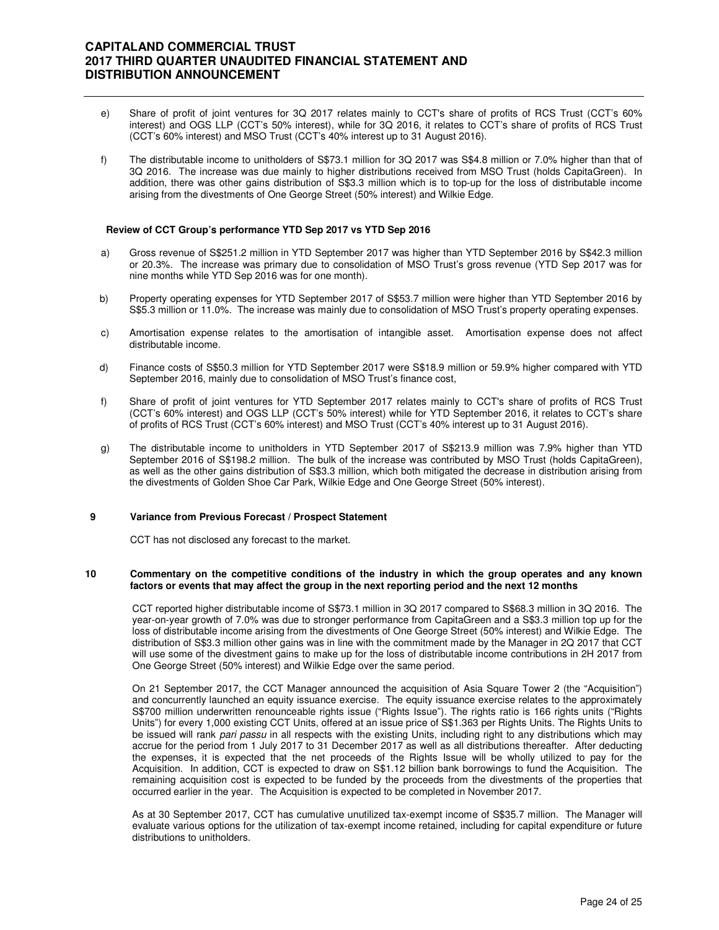- e) Share of profit of joint ventures for 3Q 2017 relates mainly to CCT's share of profits of RCS Trust (CCT's 60% interest) and OGS LLP (CCT's 50% interest), while for 3Q 2016, it relates to CCT's share of profits of RCS Trust (CCT's 60% interest) and MSO Trust (CCT's 40% interest up to 31 August 2016).
- f) The distributable income to unitholders of S\$73.1 million for 3Q 2017 was S\$4.8 million or 7.0% higher than that of 3Q 2016. The increase was due mainly to higher distributions received from MSO Trust (holds CapitaGreen). In addition, there was other gains distribution of S\$3.3 million which is to top-up for the loss of distributable income arising from the divestments of One George Street (50% interest) and Wilkie Edge.

#### **Review of CCT Group's performance YTD Sep 2017 vs YTD Sep 2016**

- a) Gross revenue of S\$251.2 million in YTD September 2017 was higher than YTD September 2016 by S\$42.3 million or 20.3%. The increase was primary due to consolidation of MSO Trust's gross revenue (YTD Sep 2017 was for nine months while YTD Sep 2016 was for one month).
- b) Property operating expenses for YTD September 2017 of S\$53.7 million were higher than YTD September 2016 by S\$5.3 million or 11.0%. The increase was mainly due to consolidation of MSO Trust's property operating expenses.
- c) Amortisation expense relates to the amortisation of intangible asset. Amortisation expense does not affect distributable income.
- d) Finance costs of S\$50.3 million for YTD September 2017 were S\$18.9 million or 59.9% higher compared with YTD September 2016, mainly due to consolidation of MSO Trust's finance cost,
- f) Share of profit of joint ventures for YTD September 2017 relates mainly to CCT's share of profits of RCS Trust (CCT's 60% interest) and OGS LLP (CCT's 50% interest) while for YTD September 2016, it relates to CCT's share of profits of RCS Trust (CCT's 60% interest) and MSO Trust (CCT's 40% interest up to 31 August 2016).
- g) The distributable income to unitholders in YTD September 2017 of S\$213.9 million was 7.9% higher than YTD September 2016 of S\$198.2 million. The bulk of the increase was contributed by MSO Trust (holds CapitaGreen), as well as the other gains distribution of S\$3.3 million, which both mitigated the decrease in distribution arising from the divestments of Golden Shoe Car Park, Wilkie Edge and One George Street (50% interest).

#### **9 Variance from Previous Forecast / Prospect Statement**

CCT has not disclosed any forecast to the market.

#### **10 Commentary on the competitive conditions of the industry in which the group operates and any known factors or events that may affect the group in the next reporting period and the next 12 months**

CCT reported higher distributable income of S\$73.1 million in 3Q 2017 compared to S\$68.3 million in 3Q 2016. The year-on-year growth of 7.0% was due to stronger performance from CapitaGreen and a S\$3.3 million top up for the loss of distributable income arising from the divestments of One George Street (50% interest) and Wilkie Edge. The distribution of S\$3.3 million other gains was in line with the commitment made by the Manager in 2Q 2017 that CCT will use some of the divestment gains to make up for the loss of distributable income contributions in 2H 2017 from One George Street (50% interest) and Wilkie Edge over the same period.

On 21 September 2017, the CCT Manager announced the acquisition of Asia Square Tower 2 (the "Acquisition") and concurrently launched an equity issuance exercise. The equity issuance exercise relates to the approximately S\$700 million underwritten renounceable rights issue ("Rights Issue"). The rights ratio is 166 rights units ("Rights Units") for every 1,000 existing CCT Units, offered at an issue price of S\$1.363 per Rights Units. The Rights Units to be issued will rank pari passu in all respects with the existing Units, including right to any distributions which may accrue for the period from 1 July 2017 to 31 December 2017 as well as all distributions thereafter. After deducting the expenses, it is expected that the net proceeds of the Rights Issue will be wholly utilized to pay for the Acquisition. In addition, CCT is expected to draw on S\$1.12 billion bank borrowings to fund the Acquisition. The remaining acquisition cost is expected to be funded by the proceeds from the divestments of the properties that occurred earlier in the year. The Acquisition is expected to be completed in November 2017.

As at 30 September 2017, CCT has cumulative unutilized tax-exempt income of S\$35.7 million. The Manager will evaluate various options for the utilization of tax-exempt income retained, including for capital expenditure or future distributions to unitholders.